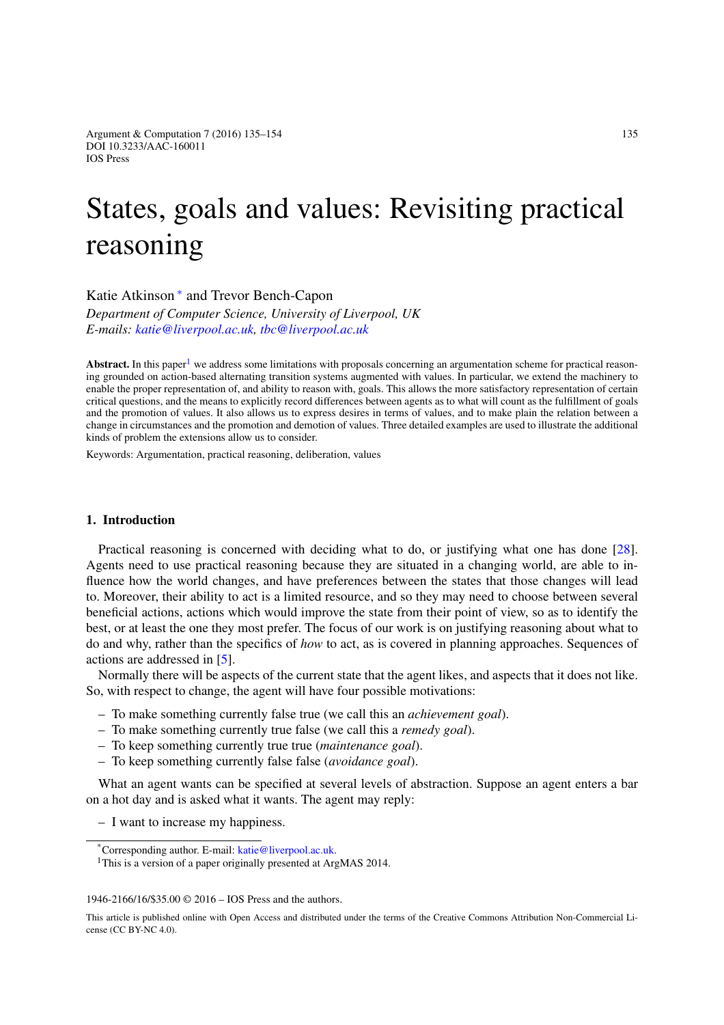Argument & Computation 7 (2016) 135–154 135 DOI 10.3233/AAC-160011 IOS Press

# States, goals and values: Revisiting practical reasoning

Katie Atkinson [∗](#page-0-0) and Trevor Bench-Capon

*Department of Computer Science, University of Liverpool, UK E-mails: [katie@liverpool.ac.uk,](mailto:katie@liverpool.ac.uk) [tbc@liverpool.ac.uk](mailto:tbc@liverpool.ac.uk)*

**Abstract.** In this paper<sup>1</sup> we address some limitations with proposals concerning an argumentation scheme for practical reasoning grounded on action-based alternating transition systems augmented with values. In particular, we extend the machinery to enable the proper representation of, and ability to reason with, goals. This allows the more satisfactory representation of certain critical questions, and the means to explicitly record differences between agents as to what will count as the fulfillment of goals and the promotion of values. It also allows us to express desires in terms of values, and to make plain the relation between a change in circumstances and the promotion and demotion of values. Three detailed examples are used to illustrate the additional kinds of problem the extensions allow us to consider.

Keywords: Argumentation, practical reasoning, deliberation, values

# <span id="page-0-2"></span>**1. Introduction**

Practical reasoning is concerned with deciding what to do, or justifying what one has done [\[28](#page-18-0)]. Agents need to use practical reasoning because they are situated in a changing world, are able to influence how the world changes, and have preferences between the states that those changes will lead to. Moreover, their ability to act is a limited resource, and so they may need to choose between several beneficial actions, actions which would improve the state from their point of view, so as to identify the best, or at least the one they most prefer. The focus of our work is on justifying reasoning about what to do and why, rather than the specifics of *how* to act, as is covered in planning approaches. Sequences of actions are addressed in [\[5](#page-17-0)].

Normally there will be aspects of the current state that the agent likes, and aspects that it does not like. So, with respect to change, the agent will have four possible motivations:

- To make something currently false true (we call this an *achievement goal*).
- To make something currently true false (we call this a *remedy goal*).
- To keep something currently true true (*maintenance goal*).
- To keep something currently false false (*avoidance goal*).

What an agent wants can be specified at several levels of abstraction. Suppose an agent enters a bar on a hot day and is asked what it wants. The agent may reply:

– I want to increase my happiness.

1946-2166/16/\$35.00 © 2016 – IOS Press and the authors.

<span id="page-0-0"></span><sup>\*</sup>Corresponding author. E-mail: [katie@liverpool.ac.uk.](mailto:katie@liverpool.ac.uk)

<span id="page-0-1"></span><sup>&</sup>lt;sup>1</sup>This is a version of a paper originally presented at ArgMAS 2014.

This article is published online with Open Access and distributed under the terms of the Creative Commons Attribution Non-Commercial License (CC BY-NC 4.0).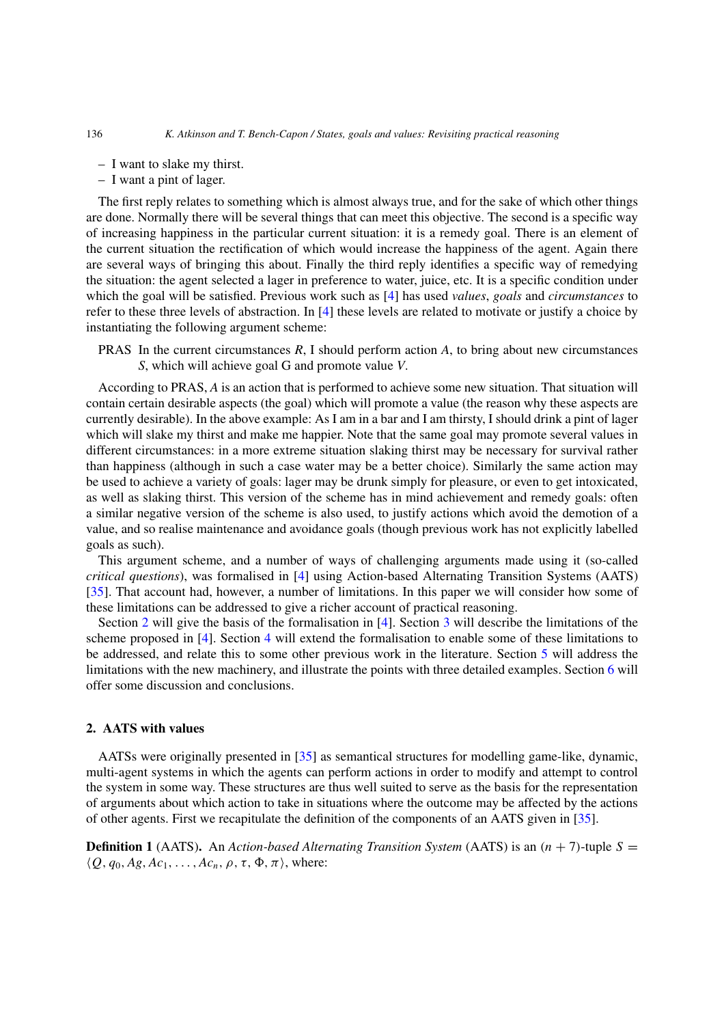- I want to slake my thirst.
- I want a pint of lager.

The first reply relates to something which is almost always true, and for the sake of which other things are done. Normally there will be several things that can meet this objective. The second is a specific way of increasing happiness in the particular current situation: it is a remedy goal. There is an element of the current situation the rectification of which would increase the happiness of the agent. Again there are several ways of bringing this about. Finally the third reply identifies a specific way of remedying the situation: the agent selected a lager in preference to water, juice, etc. It is a specific condition under which the goal will be satisfied. Previous work such as [\[4](#page-17-1)] has used *values*, *goals* and *circumstances* to refer to these three levels of abstraction. In [\[4\]](#page-17-1) these levels are related to motivate or justify a choice by instantiating the following argument scheme:

PRAS In the current circumstances *R*, I should perform action *A*, to bring about new circumstances *S*, which will achieve goal G and promote value *V*.

According to PRAS, *A* is an action that is performed to achieve some new situation. That situation will contain certain desirable aspects (the goal) which will promote a value (the reason why these aspects are currently desirable). In the above example: As I am in a bar and I am thirsty, I should drink a pint of lager which will slake my thirst and make me happier. Note that the same goal may promote several values in different circumstances: in a more extreme situation slaking thirst may be necessary for survival rather than happiness (although in such a case water may be a better choice). Similarly the same action may be used to achieve a variety of goals: lager may be drunk simply for pleasure, or even to get intoxicated, as well as slaking thirst. This version of the scheme has in mind achievement and remedy goals: often a similar negative version of the scheme is also used, to justify actions which avoid the demotion of a value, and so realise maintenance and avoidance goals (though previous work has not explicitly labelled goals as such).

This argument scheme, and a number of ways of challenging arguments made using it (so-called *critical questions*), was formalised in [\[4](#page-17-1)] using Action-based Alternating Transition Systems (AATS) [\[35](#page-19-0)]. That account had, however, a number of limitations. In this paper we will consider how some of these limitations can be addressed to give a richer account of practical reasoning.

Section [2](#page-1-0) will give the basis of the formalisation in [\[4\]](#page-17-1). Section [3](#page-3-0) will describe the limitations of the scheme proposed in [\[4](#page-17-1)]. Section [4](#page-4-0) will extend the formalisation to enable some of these limitations to be addressed, and relate this to some other previous work in the literature. Section [5](#page-8-0) will address the limitations with the new machinery, and illustrate the points with three detailed examples. Section [6](#page-16-0) will offer some discussion and conclusions.

# <span id="page-1-0"></span>**2. AATS with values**

AATSs were originally presented in [\[35\]](#page-19-0) as semantical structures for modelling game-like, dynamic, multi-agent systems in which the agents can perform actions in order to modify and attempt to control the system in some way. These structures are thus well suited to serve as the basis for the representation of arguments about which action to take in situations where the outcome may be affected by the actions of other agents. First we recapitulate the definition of the components of an AATS given in [\[35\]](#page-19-0).

**Definition 1** (AATS). An *Action-based Alternating Transition System* (AATS) is an  $(n + 7)$ -tuple  $S =$  $\langle Q, q_0, Ag, Ac_1, \ldots, Ac_n, \rho, \tau, \Phi, \pi \rangle$ , where: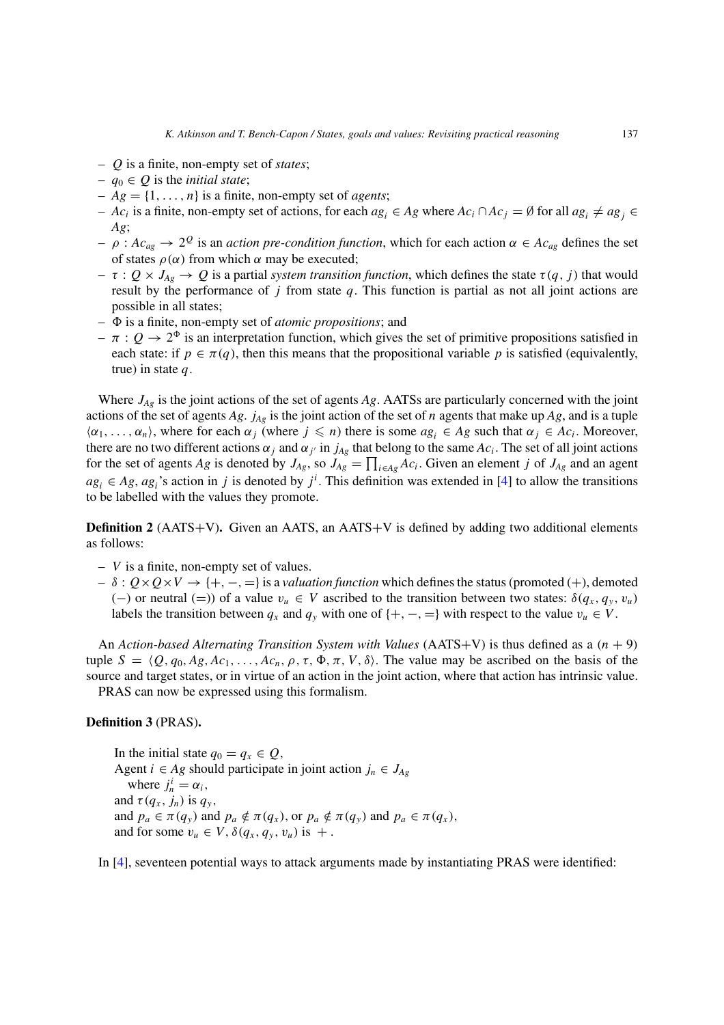- *Q* is a finite, non-empty set of *states*;
- $− q_0 ∈ Q$  is the *initial state*;
- $Ag = \{1, \ldots, n\}$  is a finite, non-empty set of *agents*;
- *Ac<sup>i</sup>* is a finite, non-empty set of actions, for each *ag<sup>i</sup>* ∈ *Ag* where *Ac<sup>i</sup>* ∩*Ac<sup>j</sup>* = ∅ for all *ag<sup>i</sup>* = *ag<sup>j</sup>* ∈ *Ag*;
- *ρ* : *Acag* → 2*<sup>Q</sup>* is an *action pre-condition function*, which for each action *α* ∈ *Acag* defines the set of states  $\rho(\alpha)$  from which  $\alpha$  may be executed;
- $-\tau$ :  $Q \times J_{Ag} \rightarrow Q$  is a partial *system transition function*, which defines the state  $\tau(q, j)$  that would result by the performance of *j* from state *q*. This function is partial as not all joint actions are possible in all states;
- is a finite, non-empty set of *atomic propositions*; and
- $-\pi$ :  $Q \rightarrow 2^{\Phi}$  is an interpretation function, which gives the set of primitive propositions satisfied in each state: if  $p \in \pi(q)$ , then this means that the propositional variable p is satisfied (equivalently, true) in state *q*.

Where *JAg* is the joint actions of the set of agents *Ag*. AATSs are particularly concerned with the joint actions of the set of agents  $Ag. j<sub>Ag</sub>$  is the joint action of the set of *n* agents that make up  $Ag$ , and is a tuple  $\langle \alpha_1, \ldots, \alpha_n \rangle$ , where for each  $\alpha_j$  (where  $j \leq n$ ) there is some  $a g_i \in Ag$  such that  $\alpha_j \in Ac_i$ . Moreover, there are no two different actions  $\alpha_j$  and  $\alpha_{j'}$  in  $j_{Ag}$  that belong to the same  $Ac_i$ . The set of all joint actions for the set of agents *Ag* is denoted by  $J_{Ag}$ , so  $J_{Ag} = \prod_{i \in Ag} Ac_i$ . Given an element *j* of  $J_{Ag}$  and an agent  $ag_i \in Ag$ ,  $ag_i$ 's action in *j* is denoted by  $j^i$ . This definition was extended in [\[4](#page-17-1)] to allow the transitions to be labelled with the values they promote.

**Definition 2** ( $AATS+V$ ). Given an AATS, an  $AATS+V$  is defined by adding two additional elements as follows:

- *V* is a finite, non-empty set of values.
- $\delta : Q \times Q \times V \to \{+, -, =\}$  is a *valuation function* which defines the status (promoted (+), demoted (−) or neutral (=)) of a value  $v_u$  ∈ *V* ascribed to the transition between two states:  $\delta(q_x, q_y, v_u)$ labels the transition between  $q_x$  and  $q_y$  with one of  $\{+, -, =\}$  with respect to the value  $v_u \in V$ .

An *Action-based Alternating Transition System with Values* (AATS+V) is thus defined as a *(n* + 9*)* tuple  $S = \langle Q, q_0, Ag, Ac_1, \ldots, Ac_n, \rho, \tau, \Phi, \pi, V, \delta \rangle$ . The value may be ascribed on the basis of the source and target states, or in virtue of an action in the joint action, where that action has intrinsic value. PRAS can now be expressed using this formalism.

# **Definition 3** (PRAS)**.**

In the initial state  $q_0 = q_x \in Q$ , Agent *i* ∈ *Ag* should participate in joint action  $j_n$  ∈  $J_{Ag}$ where  $j_n^i = \alpha_i$ , and  $\tau(q_x, j_n)$  is  $q_y$ , and  $p_a \in \pi(q_y)$  and  $p_a \notin \pi(q_x)$ , or  $p_a \notin \pi(q_y)$  and  $p_a \in \pi(q_x)$ , and for some  $v_u \in V$ ,  $\delta(q_x, q_y, v_u)$  is  $+$ .

In [\[4\]](#page-17-1), seventeen potential ways to attack arguments made by instantiating PRAS were identified: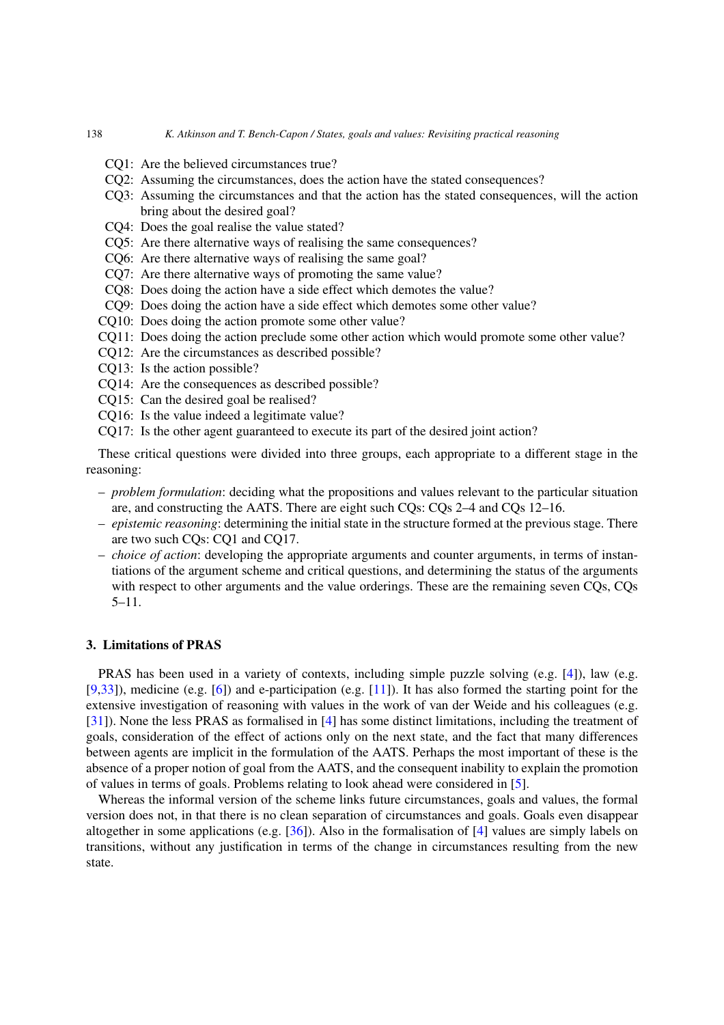## 138 *K. Atkinson and T. Bench-Capon / States, goals and values: Revisiting practical reasoning*

- CQ1: Are the believed circumstances true?
- CQ2: Assuming the circumstances, does the action have the stated consequences?
- CQ3: Assuming the circumstances and that the action has the stated consequences, will the action bring about the desired goal?
- CQ4: Does the goal realise the value stated?
- CQ5: Are there alternative ways of realising the same consequences?
- CQ6: Are there alternative ways of realising the same goal?
- CQ7: Are there alternative ways of promoting the same value?
- CQ8: Does doing the action have a side effect which demotes the value?
- CQ9: Does doing the action have a side effect which demotes some other value?
- CQ10: Does doing the action promote some other value?
- CQ11: Does doing the action preclude some other action which would promote some other value?
- CQ12: Are the circumstances as described possible?
- CQ13: Is the action possible?
- CQ14: Are the consequences as described possible?
- CQ15: Can the desired goal be realised?
- CQ16: Is the value indeed a legitimate value?
- CQ17: Is the other agent guaranteed to execute its part of the desired joint action?

These critical questions were divided into three groups, each appropriate to a different stage in the reasoning:

- *problem formulation*: deciding what the propositions and values relevant to the particular situation are, and constructing the AATS. There are eight such CQs: CQs 2–4 and CQs 12–16.
- *epistemic reasoning*: determining the initial state in the structure formed at the previous stage. There are two such CQs: CQ1 and CQ17.
- *choice of action*: developing the appropriate arguments and counter arguments, in terms of instantiations of the argument scheme and critical questions, and determining the status of the arguments with respect to other arguments and the value orderings. These are the remaining seven CQs, CQs 5–11.

## <span id="page-3-0"></span>**3. Limitations of PRAS**

PRAS has been used in a variety of contexts, including simple puzzle solving (e.g. [\[4](#page-17-1)]), law (e.g.  $[9,33]$  $[9,33]$ ), medicine (e.g.  $[6]$ ) and e-participation (e.g.  $[11]$ ). It has also formed the starting point for the extensive investigation of reasoning with values in the work of van der Weide and his colleagues (e.g. [\[31](#page-18-5)]). None the less PRAS as formalised in [\[4\]](#page-17-1) has some distinct limitations, including the treatment of goals, consideration of the effect of actions only on the next state, and the fact that many differences between agents are implicit in the formulation of the AATS. Perhaps the most important of these is the absence of a proper notion of goal from the AATS, and the consequent inability to explain the promotion of values in terms of goals. Problems relating to look ahead were considered in [\[5\]](#page-17-0).

Whereas the informal version of the scheme links future circumstances, goals and values, the formal version does not, in that there is no clean separation of circumstances and goals. Goals even disappear altogether in some applications (e.g. [\[36](#page-19-1)]). Also in the formalisation of [\[4](#page-17-1)] values are simply labels on transitions, without any justification in terms of the change in circumstances resulting from the new state.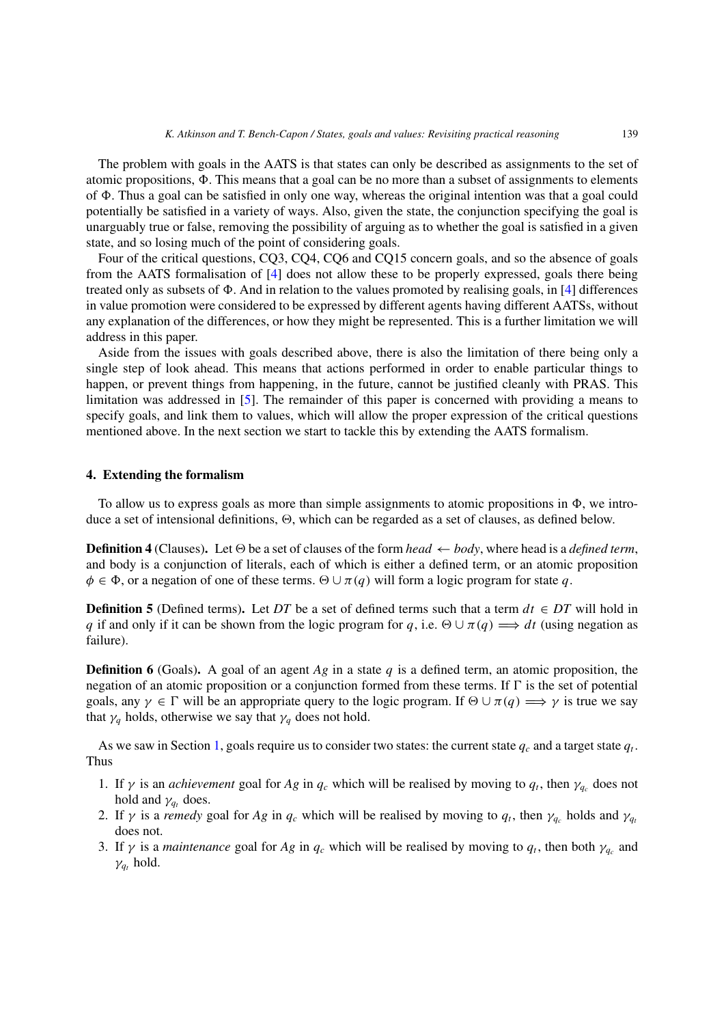The problem with goals in the AATS is that states can only be described as assignments to the set of atomic propositions,  $\Phi$ . This means that a goal can be no more than a subset of assignments to elements of  $\Phi$ . Thus a goal can be satisfied in only one way, whereas the original intention was that a goal could potentially be satisfied in a variety of ways. Also, given the state, the conjunction specifying the goal is unarguably true or false, removing the possibility of arguing as to whether the goal is satisfied in a given state, and so losing much of the point of considering goals.

Four of the critical questions, CQ3, CQ4, CQ6 and CQ15 concern goals, and so the absence of goals from the AATS formalisation of [\[4](#page-17-1)] does not allow these to be properly expressed, goals there being treated only as subsets of  $\Phi$ . And in relation to the values promoted by realising goals, in [\[4\]](#page-17-1) differences in value promotion were considered to be expressed by different agents having different AATSs, without any explanation of the differences, or how they might be represented. This is a further limitation we will address in this paper.

Aside from the issues with goals described above, there is also the limitation of there being only a single step of look ahead. This means that actions performed in order to enable particular things to happen, or prevent things from happening, in the future, cannot be justified cleanly with PRAS. This limitation was addressed in [\[5](#page-17-0)]. The remainder of this paper is concerned with providing a means to specify goals, and link them to values, which will allow the proper expression of the critical questions mentioned above. In the next section we start to tackle this by extending the AATS formalism.

# <span id="page-4-0"></span>**4. Extending the formalism**

To allow us to express goals as more than simple assignments to atomic propositions in  $\Phi$ , we introduce a set of intensional definitions,  $\Theta$ , which can be regarded as a set of clauses, as defined below.

**Definition 4** (Clauses). Let  $\Theta$  be a set of clauses of the form *head*  $\leftarrow$  *body*, where head is a *defined term*, and body is a conjunction of literals, each of which is either a defined term, or an atomic proposition  $\phi \in \Phi$ , or a negation of one of these terms.  $\Theta \cup \pi(q)$  will form a logic program for state *q*.

**Definition 5** (Defined terms). Let *DT* be a set of defined terms such that a term  $dt \in DT$  will hold in *q* if and only if it can be shown from the logic program for *q*, i.e.  $\Theta \cup \pi(q) \implies dt$  (using negation as failure).

**Definition 6** (Goals). A goal of an agent  $Ag$  in a state  $q$  is a defined term, an atomic proposition, the negation of an atomic proposition or a conjunction formed from these terms. If  is the set of potential goals, any  $\gamma \in \Gamma$  will be an appropriate query to the logic program. If  $\Theta \cup \pi(q) \Longrightarrow \gamma$  is true we say that  $\gamma_q$  holds, otherwise we say that  $\gamma_q$  does not hold.

As we saw in Section [1,](#page-0-2) goals require us to consider two states: the current state  $q_c$  and a target state  $q_t$ . Thus

- 1. If  $\gamma$  is an *achievement* goal for *Ag* in  $q_c$  which will be realised by moving to  $q_t$ , then  $\gamma_{q_c}$  does not hold and  $\gamma_{q_t}$  does.
- 2. If  $\gamma$  is a *remedy* goal for *Ag* in  $q_c$  which will be realised by moving to  $q_t$ , then  $\gamma_{q_c}$  holds and  $\gamma_{q_t}$ does not.
- 3. If  $\gamma$  is a *maintenance* goal for *Ag* in  $q_c$  which will be realised by moving to  $q_t$ , then both  $\gamma_{q_c}$  and  $\gamma_{q_t}$  hold.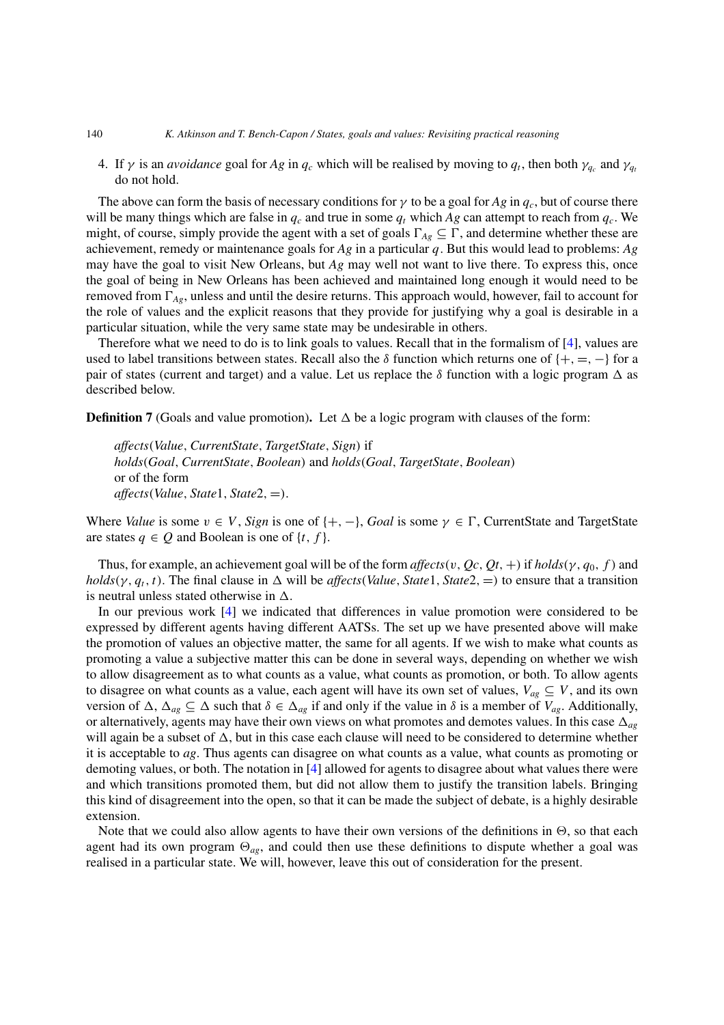#### 140 *K. Atkinson and T. Bench-Capon / States, goals and values: Revisiting practical reasoning*

4. If  $\gamma$  is an *avoidance* goal for Ag in  $q_c$  which will be realised by moving to  $q_t$ , then both  $\gamma_{q_c}$  and  $\gamma_{q_t}$ do not hold.

The above can form the basis of necessary conditions for  $\gamma$  to be a goal for *Ag* in  $q_c$ , but of course there will be many things which are false in  $q_c$  and true in some  $q_t$  which  $Ag$  can attempt to reach from  $q_c$ . We might, of course, simply provide the agent with a set of goals  $\Gamma_{Ag} \subseteq \Gamma$ , and determine whether these are achievement, remedy or maintenance goals for *Ag* in a particular *q*. But this would lead to problems: *Ag* may have the goal to visit New Orleans, but *Ag* may well not want to live there. To express this, once the goal of being in New Orleans has been achieved and maintained long enough it would need to be removed from  $\Gamma_{Ag}$ , unless and until the desire returns. This approach would, however, fail to account for the role of values and the explicit reasons that they provide for justifying why a goal is desirable in a particular situation, while the very same state may be undesirable in others.

Therefore what we need to do is to link goals to values. Recall that in the formalism of [\[4\]](#page-17-1), values are used to label transitions between states. Recall also the *δ* function which returns one of {+*,* =*,* −} for a pair of states (current and target) and a value. Let us replace the *δ* function with a logic program  as described below.

**Definition 7** (Goals and value promotion). Let  $\Delta$  be a logic program with clauses of the form:

*affects(Value,CurrentState, TargetState, Sign)* if *holds(Goal,CurrentState, Boolean)* and *holds(Goal, TargetState, Boolean)* or of the form *affects(Value, State*1*, State*2*,* =*).*

Where *Value* is some  $v \in V$ , *Sign* is one of  $\{+, -\}$ , *Goal* is some  $\gamma \in \Gamma$ , CurrentState and TargetState are states  $q \in Q$  and Boolean is one of  $\{t, f\}$ .

Thus, for example, an achievement goal will be of the form  $\text{affect}(v, Qc, Qt, +)$  if  $\text{holds}(y, q_0, f)$  and *holds*( $\gamma$ ,  $q_t$ ,  $t$ ). The final clause in  $\Delta$  will be *affects*(*Value*, *State*1, *State*2, =  $\Delta$  to ensure that a transition is neutral unless stated otherwise in  $\Delta$ .

In our previous work [\[4\]](#page-17-1) we indicated that differences in value promotion were considered to be expressed by different agents having different AATSs. The set up we have presented above will make the promotion of values an objective matter, the same for all agents. If we wish to make what counts as promoting a value a subjective matter this can be done in several ways, depending on whether we wish to allow disagreement as to what counts as a value, what counts as promotion, or both. To allow agents to disagree on what counts as a value, each agent will have its own set of values,  $V_{ag} \subseteq V$ , and its own version of  $\Delta$ ,  $\Delta_{ag} \subseteq \Delta$  such that  $\delta \in \Delta_{ag}$  if and only if the value in  $\delta$  is a member of  $V_{ag}$ . Additionally, or alternatively, agents may have their own views on what promotes and demotes values. In this case  $\Delta_{a}$ will again be a subset of  $\Delta$ , but in this case each clause will need to be considered to determine whether it is acceptable to *ag*. Thus agents can disagree on what counts as a value, what counts as promoting or demoting values, or both. The notation in [\[4\]](#page-17-1) allowed for agents to disagree about what values there were and which transitions promoted them, but did not allow them to justify the transition labels. Bringing this kind of disagreement into the open, so that it can be made the subject of debate, is a highly desirable extension.

Note that we could also allow agents to have their own versions of the definitions in  $\Theta$ , so that each agent had its own program  $\Theta_{\alpha g}$ , and could then use these definitions to dispute whether a goal was realised in a particular state. We will, however, leave this out of consideration for the present.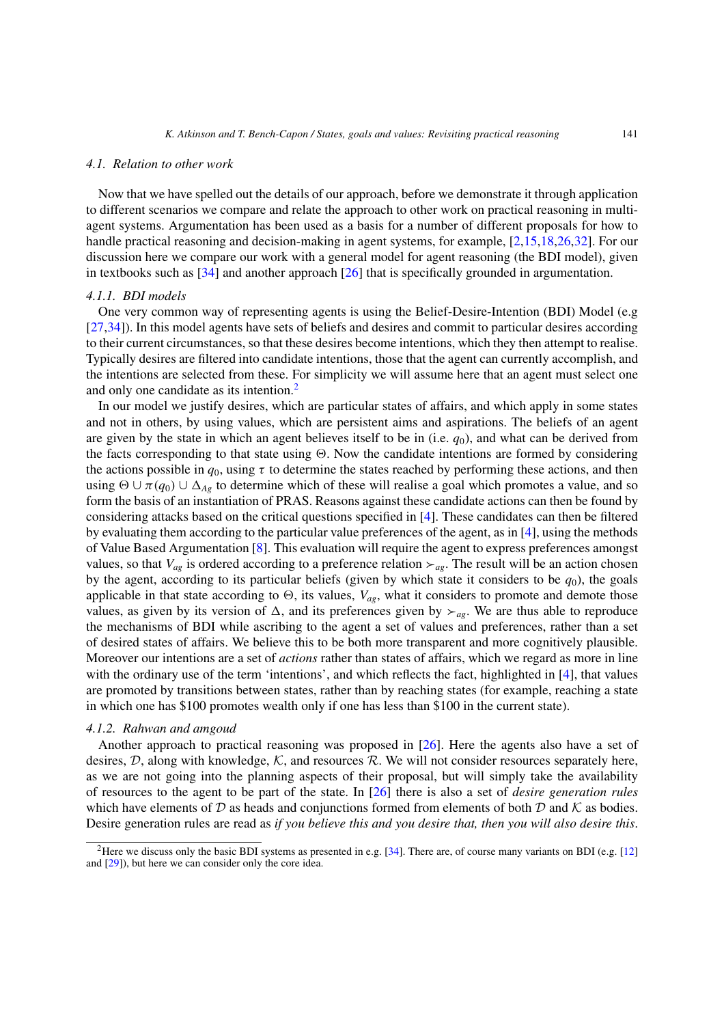#### *4.1. Relation to other work*

Now that we have spelled out the details of our approach, before we demonstrate it through application to different scenarios we compare and relate the approach to other work on practical reasoning in multiagent systems. Argumentation has been used as a basis for a number of different proposals for how to handle practical reasoning and decision-making in agent systems, for example, [\[2](#page-17-2)[,15](#page-18-6)[,18](#page-18-7)[,26](#page-18-8)[,32\]](#page-18-9). For our discussion here we compare our work with a general model for agent reasoning (the BDI model), given in textbooks such as [\[34\]](#page-19-2) and another approach [\[26\]](#page-18-8) that is specifically grounded in argumentation.

#### *4.1.1. BDI models*

One very common way of representing agents is using the Belief-Desire-Intention (BDI) Model (e.g [\[27](#page-18-10)[,34](#page-19-2)]). In this model agents have sets of beliefs and desires and commit to particular desires according to their current circumstances, so that these desires become intentions, which they then attempt to realise. Typically desires are filtered into candidate intentions, those that the agent can currently accomplish, and the intentions are selected from these. For simplicity we will assume here that an agent must select one and only one candidate as its intention.<sup>[2](#page-6-0)</sup>

In our model we justify desires, which are particular states of affairs, and which apply in some states and not in others, by using values, which are persistent aims and aspirations. The beliefs of an agent are given by the state in which an agent believes itself to be in (i.e.  $q_0$ ), and what can be derived from the facts corresponding to that state using  $\Theta$ . Now the candidate intentions are formed by considering the actions possible in  $q_0$ , using  $\tau$  to determine the states reached by performing these actions, and then using  $\Theta \cup \pi(q_0) \cup \Delta_{Ag}$  to determine which of these will realise a goal which promotes a value, and so form the basis of an instantiation of PRAS. Reasons against these candidate actions can then be found by considering attacks based on the critical questions specified in [\[4](#page-17-1)]. These candidates can then be filtered by evaluating them according to the particular value preferences of the agent, as in [\[4](#page-17-1)], using the methods of Value Based Argumentation [\[8](#page-18-11)]. This evaluation will require the agent to express preferences amongst values, so that  $V_{ag}$  is ordered according to a preference relation  $\succ_{ag}$ . The result will be an action chosen by the agent, according to its particular beliefs (given by which state it considers to be  $q_0$ ), the goals applicable in that state according to  $\Theta$ , its values,  $V_{ae}$ , what it considers to promote and demote those values, as given by its version of  $\Delta$ , and its preferences given by  $\succ_{ag}$ . We are thus able to reproduce the mechanisms of BDI while ascribing to the agent a set of values and preferences, rather than a set of desired states of affairs. We believe this to be both more transparent and more cognitively plausible. Moreover our intentions are a set of *actions* rather than states of affairs, which we regard as more in line with the ordinary use of the term 'intentions', and which reflects the fact, highlighted in [\[4](#page-17-1)], that values are promoted by transitions between states, rather than by reaching states (for example, reaching a state in which one has \$100 promotes wealth only if one has less than \$100 in the current state).

#### *4.1.2. Rahwan and amgoud*

Another approach to practical reasoning was proposed in [\[26\]](#page-18-8). Here the agents also have a set of desires,  $D$ , along with knowledge,  $K$ , and resources  $R$ . We will not consider resources separately here, as we are not going into the planning aspects of their proposal, but will simply take the availability of resources to the agent to be part of the state. In [\[26\]](#page-18-8) there is also a set of *desire generation rules* which have elements of D as heads and conjunctions formed from elements of both D and K as bodies. Desire generation rules are read as *if you believe this and you desire that, then you will also desire this*.

<span id="page-6-0"></span><sup>&</sup>lt;sup>2</sup>Here we discuss only the basic BDI systems as presented in e.g. [\[34](#page-19-2)]. There are, of course many variants on BDI (e.g. [\[12](#page-18-12)] and [\[29](#page-18-13)]), but here we can consider only the core idea.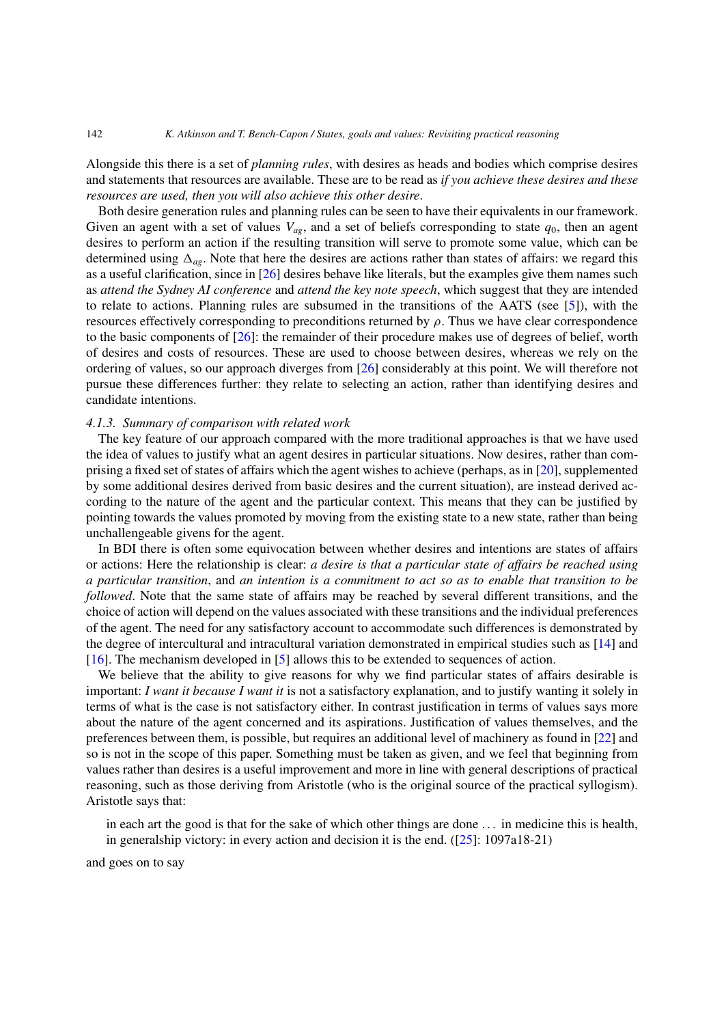Alongside this there is a set of *planning rules*, with desires as heads and bodies which comprise desires and statements that resources are available. These are to be read as *if you achieve these desires and these resources are used, then you will also achieve this other desire*.

Both desire generation rules and planning rules can be seen to have their equivalents in our framework. Given an agent with a set of values  $V_{a}$ , and a set of beliefs corresponding to state  $q_0$ , then an agent desires to perform an action if the resulting transition will serve to promote some value, which can be determined using  $\Delta_{ae}$ . Note that here the desires are actions rather than states of affairs: we regard this as a useful clarification, since in [\[26](#page-18-8)] desires behave like literals, but the examples give them names such as *attend the Sydney AI conference* and *attend the key note speech*, which suggest that they are intended to relate to actions. Planning rules are subsumed in the transitions of the AATS (see [\[5\]](#page-17-0)), with the resources effectively corresponding to preconditions returned by *ρ*. Thus we have clear correspondence to the basic components of [\[26](#page-18-8)]: the remainder of their procedure makes use of degrees of belief, worth of desires and costs of resources. These are used to choose between desires, whereas we rely on the ordering of values, so our approach diverges from [\[26\]](#page-18-8) considerably at this point. We will therefore not pursue these differences further: they relate to selecting an action, rather than identifying desires and candidate intentions.

# *4.1.3. Summary of comparison with related work*

The key feature of our approach compared with the more traditional approaches is that we have used the idea of values to justify what an agent desires in particular situations. Now desires, rather than comprising a fixed set of states of affairs which the agent wishes to achieve (perhaps, as in [\[20\]](#page-18-14), supplemented by some additional desires derived from basic desires and the current situation), are instead derived according to the nature of the agent and the particular context. This means that they can be justified by pointing towards the values promoted by moving from the existing state to a new state, rather than being unchallengeable givens for the agent.

In BDI there is often some equivocation between whether desires and intentions are states of affairs or actions: Here the relationship is clear: *a desire is that a particular state of affairs be reached using a particular transition*, and *an intention is a commitment to act so as to enable that transition to be followed*. Note that the same state of affairs may be reached by several different transitions, and the choice of action will depend on the values associated with these transitions and the individual preferences of the agent. The need for any satisfactory account to accommodate such differences is demonstrated by the degree of intercultural and intracultural variation demonstrated in empirical studies such as [\[14](#page-18-15)] and [\[16](#page-18-16)]. The mechanism developed in [\[5\]](#page-17-0) allows this to be extended to sequences of action.

We believe that the ability to give reasons for why we find particular states of affairs desirable is important: *I want it because I want it* is not a satisfactory explanation, and to justify wanting it solely in terms of what is the case is not satisfactory either. In contrast justification in terms of values says more about the nature of the agent concerned and its aspirations. Justification of values themselves, and the preferences between them, is possible, but requires an additional level of machinery as found in [\[22](#page-18-17)] and so is not in the scope of this paper. Something must be taken as given, and we feel that beginning from values rather than desires is a useful improvement and more in line with general descriptions of practical reasoning, such as those deriving from Aristotle (who is the original source of the practical syllogism). Aristotle says that:

in each art the good is that for the sake of which other things are done . . . in medicine this is health, in generalship victory: in every action and decision it is the end. ([\[25](#page-18-18)]: 1097a18-21)

and goes on to say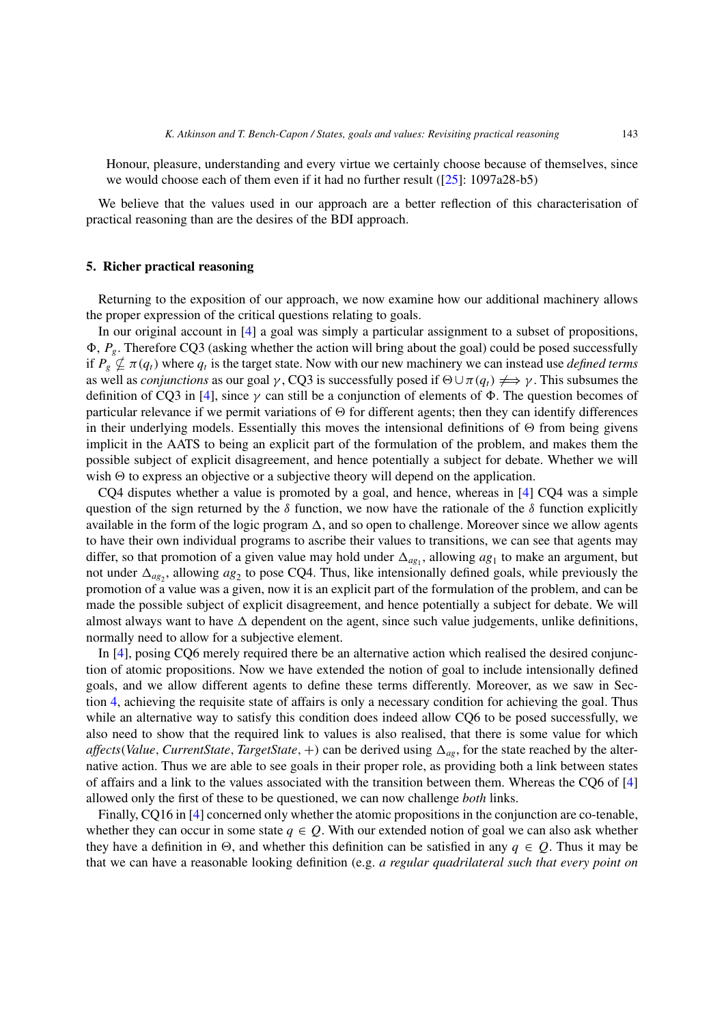Honour, pleasure, understanding and every virtue we certainly choose because of themselves, since we would choose each of them even if it had no further result ( $[25]$ : 1097a28-b5)

We believe that the values used in our approach are a better reflection of this characterisation of practical reasoning than are the desires of the BDI approach.

# <span id="page-8-0"></span>**5. Richer practical reasoning**

Returning to the exposition of our approach, we now examine how our additional machinery allows the proper expression of the critical questions relating to goals.

In our original account in [\[4](#page-17-1)] a goal was simply a particular assignment to a subset of propositions, , *Pg*. Therefore CQ3 (asking whether the action will bring about the goal) could be posed successfully if  $P_g \nsubseteq \pi(q_t)$  where  $q_t$  is the target state. Now with our new machinery we can instead use *defined terms* as well as *conjunctions* as our goal *γ*, CQ3 is successfully posed if  $\Theta \cup \pi(q_t) \neq \gamma$ . This subsumes the definition of CQ3 in [\[4\]](#page-17-1), since  $\gamma$  can still be a conjunction of elements of  $\Phi$ . The question becomes of particular relevance if we permit variations of  $\Theta$  for different agents; then they can identify differences in their underlying models. Essentially this moves the intensional definitions of  $\Theta$  from being givens implicit in the AATS to being an explicit part of the formulation of the problem, and makes them the possible subject of explicit disagreement, and hence potentially a subject for debate. Whether we will wish  $\Theta$  to express an objective or a subjective theory will depend on the application.

CQ4 disputes whether a value is promoted by a goal, and hence, whereas in [\[4\]](#page-17-1) CQ4 was a simple question of the sign returned by the  $\delta$  function, we now have the rationale of the  $\delta$  function explicitly available in the form of the logic program  $\Delta$ , and so open to challenge. Moreover since we allow agents to have their own individual programs to ascribe their values to transitions, we can see that agents may differ, so that promotion of a given value may hold under  $\Delta_{a}$ , allowing  $a g_1$  to make an argument, but not under  $\Delta_{ag_2}$ , allowing  $ag_2$  to pose CQ4. Thus, like intensionally defined goals, while previously the promotion of a value was a given, now it is an explicit part of the formulation of the problem, and can be made the possible subject of explicit disagreement, and hence potentially a subject for debate. We will almost always want to have  $\Delta$  dependent on the agent, since such value judgements, unlike definitions, normally need to allow for a subjective element.

In [\[4\]](#page-17-1), posing CQ6 merely required there be an alternative action which realised the desired conjunction of atomic propositions. Now we have extended the notion of goal to include intensionally defined goals, and we allow different agents to define these terms differently. Moreover, as we saw in Section [4,](#page-4-0) achieving the requisite state of affairs is only a necessary condition for achieving the goal. Thus while an alternative way to satisfy this condition does indeed allow CQ6 to be posed successfully, we also need to show that the required link to values is also realised, that there is some value for which *affects*(*Value*, *CurrentState*, *TargetState*,  $+$ ) can be derived using  $\Delta_{ae}$ , for the state reached by the alternative action. Thus we are able to see goals in their proper role, as providing both a link between states of affairs and a link to the values associated with the transition between them. Whereas the CQ6 of [\[4\]](#page-17-1) allowed only the first of these to be questioned, we can now challenge *both* links.

Finally, CQ16 in [\[4](#page-17-1)] concerned only whether the atomic propositions in the conjunction are co-tenable, whether they can occur in some state  $q \in Q$ . With our extended notion of goal we can also ask whether they have a definition in  $\Theta$ , and whether this definition can be satisfied in any  $q \in \mathcal{O}$ . Thus it may be that we can have a reasonable looking definition (e.g. *a regular quadrilateral such that every point on*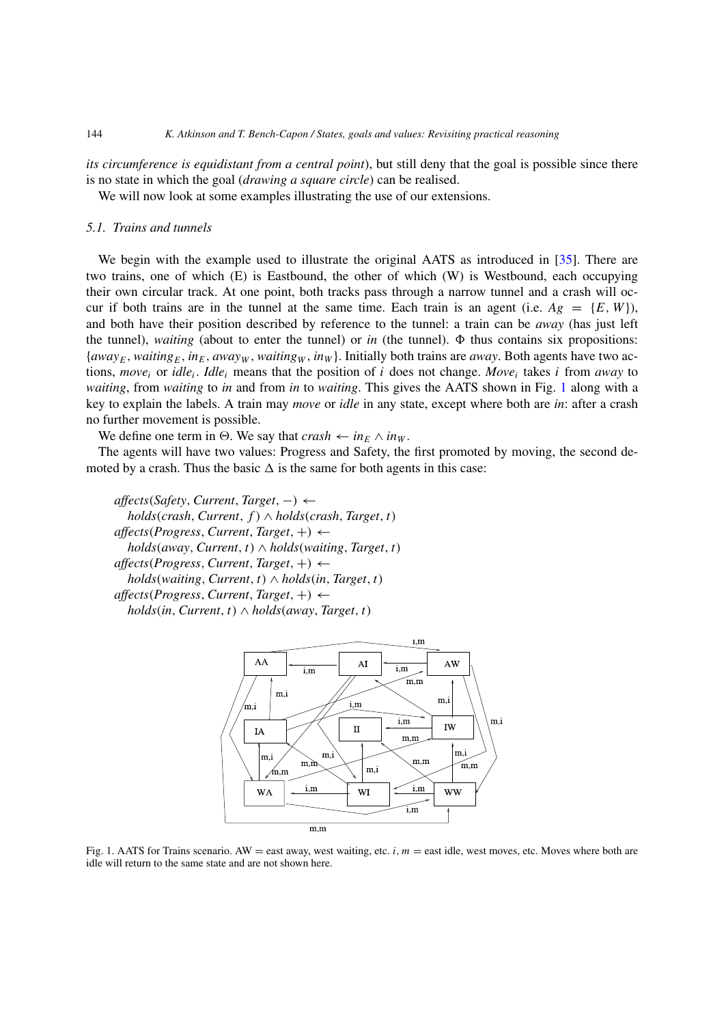*its circumference is equidistant from a central point*), but still deny that the goal is possible since there is no state in which the goal (*drawing a square circle*) can be realised.

We will now look at some examples illustrating the use of our extensions.

#### *5.1. Trains and tunnels*

We begin with the example used to illustrate the original AATS as introduced in [\[35](#page-19-0)]. There are two trains, one of which (E) is Eastbound, the other of which (W) is Westbound, each occupying their own circular track. At one point, both tracks pass through a narrow tunnel and a crash will occur if both trains are in the tunnel at the same time. Each train is an agent (i.e.  $Ag = \{E, W\}$ ), and both have their position described by reference to the tunnel: a train can be *away* (has just left the tunnel), *waiting* (about to enter the tunnel) or *in* (the tunnel).  $\Phi$  thus contains six propositions:  $\{away_E, waiting_E, in_E, away_W, waiting_W, in_W\}$ . Initially both trains are *away*. Both agents have two actions, *move<sup>i</sup>* or *idlei*. *Idle<sup>i</sup>* means that the position of *i* does not change. *Move<sup>i</sup>* takes *i* from *away* to *waiting*, from *waiting* to *in* and from *in* to *waiting*. This gives the AATS shown in Fig. [1](#page-9-0) along with a key to explain the labels. A train may *move* or *idle* in any state, except where both are *in*: after a crash no further movement is possible.

We define one term in  $\Theta$ . We say that *crash*  $\leftarrow$  *in*<sub>*E*</sub>  $\wedge$  *in*<sub>*W*</sub>.

The agents will have two values: Progress and Safety, the first promoted by moving, the second demoted by a crash. Thus the basic  $\Delta$  is the same for both agents in this case:

*affects(Safety,Current, Target,* −*)* ← *holds(crash,Current,f)* ∧ *holds(crash, Target,t)*  $a$ *ffects*(*Progress, Current, Target,* +*)* ← *holds(away,Current,t)* ∧ *holds(waiting, Target,t)*  $a\text{ffects}(Progress, Current, Target, +) \leftarrow$ *holds(waiting,Current,t)* ∧ *holds(in, Target,t)*  $a$ *ffects*(*Progress, Current, Target,* +*)* ← *holds(in,Current,t)* ∧ *holds(away, Target,t)*



<span id="page-9-0"></span>Fig. 1. AATS for Trains scenario. AW = east away, west waiting, etc. *i*,  $m =$  east idle, west moves, etc. Moves where both are idle will return to the same state and are not shown here.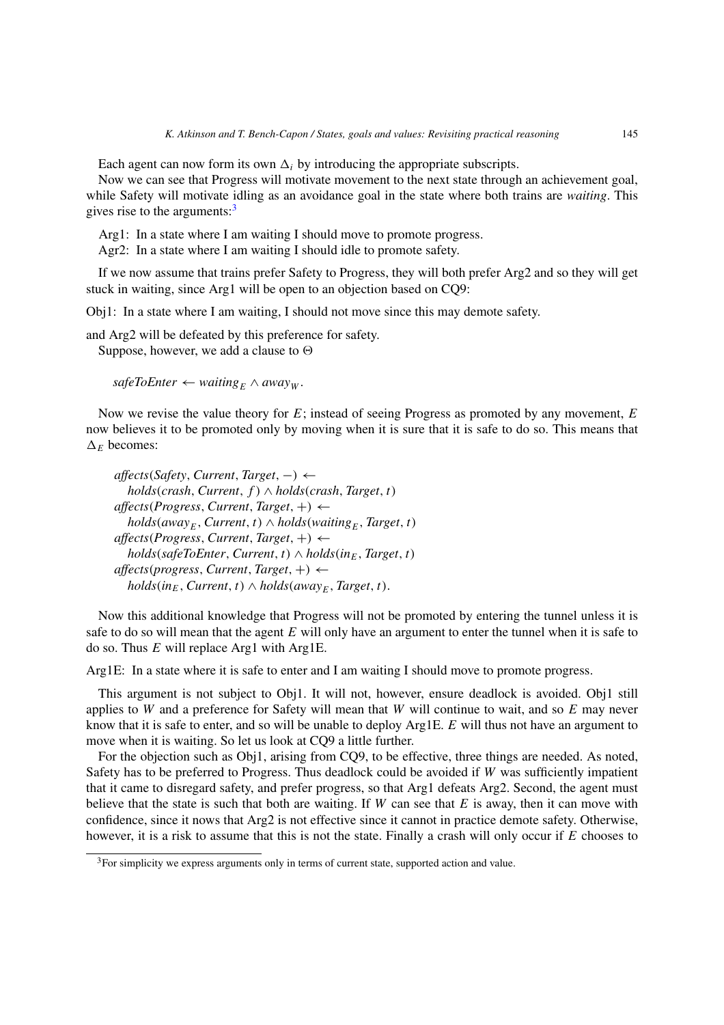Each agent can now form its own  $\Delta_i$  by introducing the appropriate subscripts.

Now we can see that Progress will motivate movement to the next state through an achievement goal, while Safety will motivate idling as an avoidance goal in the state where both trains are *waiting*. This gives rise to the arguments: $3$ 

Arg1: In a state where I am waiting I should move to promote progress.

Agr2: In a state where I am waiting I should idle to promote safety.

If we now assume that trains prefer Safety to Progress, they will both prefer Arg2 and so they will get stuck in waiting, since Arg1 will be open to an objection based on CQ9:

Obj1: In a state where I am waiting, I should not move since this may demote safety.

and Arg2 will be defeated by this preference for safety.

Suppose, however, we add a clause to  $\Theta$ 

 $s$ *afeToEnter* ← *waiting*<sub>*E*</sub> ∧ *away*<sub>*W*</sub>.

Now we revise the value theory for *E*; instead of seeing Progress as promoted by any movement, *E* now believes it to be promoted only by moving when it is sure that it is safe to do so. This means that  $\Delta_E$  becomes:

```
affects(Safety,Current, Target, −) ←
  holds(crash,Current,f) ∧ holds(crash, Target,t)
affects(Progress, Current, Target, +) ←
  holds(away<sub>E</sub>, Current, t) ∧ holds(waiting<sub>E</sub>, Target, t)
affects(Progress,Current, Target, +) ←
  holds(safeToEnter,Current,t) ∧ holds(inE, Target,t)
affects(progress, Current, Target, +) ←
  holds(in_E, Current, t) ∧ holds(away_E, Target, t).
```
Now this additional knowledge that Progress will not be promoted by entering the tunnel unless it is safe to do so will mean that the agent *E* will only have an argument to enter the tunnel when it is safe to do so. Thus *E* will replace Arg1 with Arg1E.

Arg1E: In a state where it is safe to enter and I am waiting I should move to promote progress.

This argument is not subject to Obj1. It will not, however, ensure deadlock is avoided. Obj1 still applies to *W* and a preference for Safety will mean that *W* will continue to wait, and so *E* may never know that it is safe to enter, and so will be unable to deploy Arg1E. *E* will thus not have an argument to move when it is waiting. So let us look at CQ9 a little further.

For the objection such as Obj1, arising from CQ9, to be effective, three things are needed. As noted, Safety has to be preferred to Progress. Thus deadlock could be avoided if *W* was sufficiently impatient that it came to disregard safety, and prefer progress, so that Arg1 defeats Arg2. Second, the agent must believe that the state is such that both are waiting. If *W* can see that *E* is away, then it can move with confidence, since it nows that Arg2 is not effective since it cannot in practice demote safety. Otherwise, however, it is a risk to assume that this is not the state. Finally a crash will only occur if *E* chooses to

<span id="page-10-0"></span> $3$ For simplicity we express arguments only in terms of current state, supported action and value.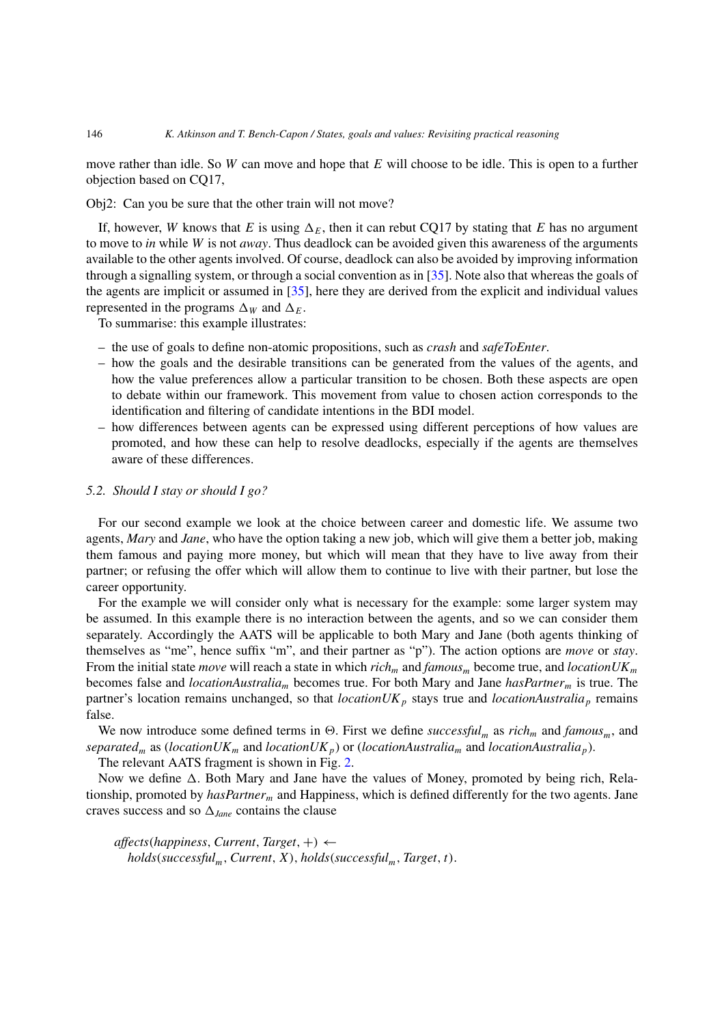move rather than idle. So *W* can move and hope that *E* will choose to be idle. This is open to a further objection based on CQ17,

Obj2: Can you be sure that the other train will not move?

If, however, *W* knows that *E* is using  $\Delta_E$ , then it can rebut CQ17 by stating that *E* has no argument to move to *in* while *W* is not *away*. Thus deadlock can be avoided given this awareness of the arguments available to the other agents involved. Of course, deadlock can also be avoided by improving information through a signalling system, or through a social convention as in [\[35](#page-19-0)]. Note also that whereas the goals of the agents are implicit or assumed in [\[35](#page-19-0)], here they are derived from the explicit and individual values represented in the programs  $\Delta_W$  and  $\Delta_E$ .

To summarise: this example illustrates:

- the use of goals to define non-atomic propositions, such as *crash* and *safeToEnter*.
- how the goals and the desirable transitions can be generated from the values of the agents, and how the value preferences allow a particular transition to be chosen. Both these aspects are open to debate within our framework. This movement from value to chosen action corresponds to the identification and filtering of candidate intentions in the BDI model.
- how differences between agents can be expressed using different perceptions of how values are promoted, and how these can help to resolve deadlocks, especially if the agents are themselves aware of these differences.

## *5.2. Should I stay or should I go?*

For our second example we look at the choice between career and domestic life. We assume two agents, *Mary* and *Jane*, who have the option taking a new job, which will give them a better job, making them famous and paying more money, but which will mean that they have to live away from their partner; or refusing the offer which will allow them to continue to live with their partner, but lose the career opportunity.

For the example we will consider only what is necessary for the example: some larger system may be assumed. In this example there is no interaction between the agents, and so we can consider them separately. Accordingly the AATS will be applicable to both Mary and Jane (both agents thinking of themselves as "me", hence suffix "m", and their partner as "p"). The action options are *move* or *stay*. From the initial state *move* will reach a state in which *rich<sup>m</sup>* and *famous<sup>m</sup>* become true, and *locationUK<sup>m</sup>* becomes false and *locationAustralia<sup>m</sup>* becomes true. For both Mary and Jane *hasPartner<sup>m</sup>* is true. The partner's location remains unchanged, so that *locationUK<sup>p</sup>* stays true and *locationAustralia<sup>p</sup>* remains false.

We now introduce some defined terms in  $\Theta$ . First we define *successful<sub>m</sub>* as *rich<sub>m</sub>* and *famous<sub>m</sub>*, and *separated<sup>m</sup>* as (*locationUK<sup>m</sup>* and *locationUKp*) or (*locationAustralia<sup>m</sup>* and *locationAustraliap*).

The relevant AATS fragment is shown in Fig. [2.](#page-12-0)

Now we define . Both Mary and Jane have the values of Money, promoted by being rich, Relationship, promoted by *hasPartner<sup>m</sup>* and Happiness, which is defined differently for the two agents. Jane craves success and so  $\Delta_{Jane}$  contains the clause

 $a$ *ffects*(*happiness, Current, Target,* +*)* ← *holds(successfulm,Current, X), holds(successfulm, Target, t).*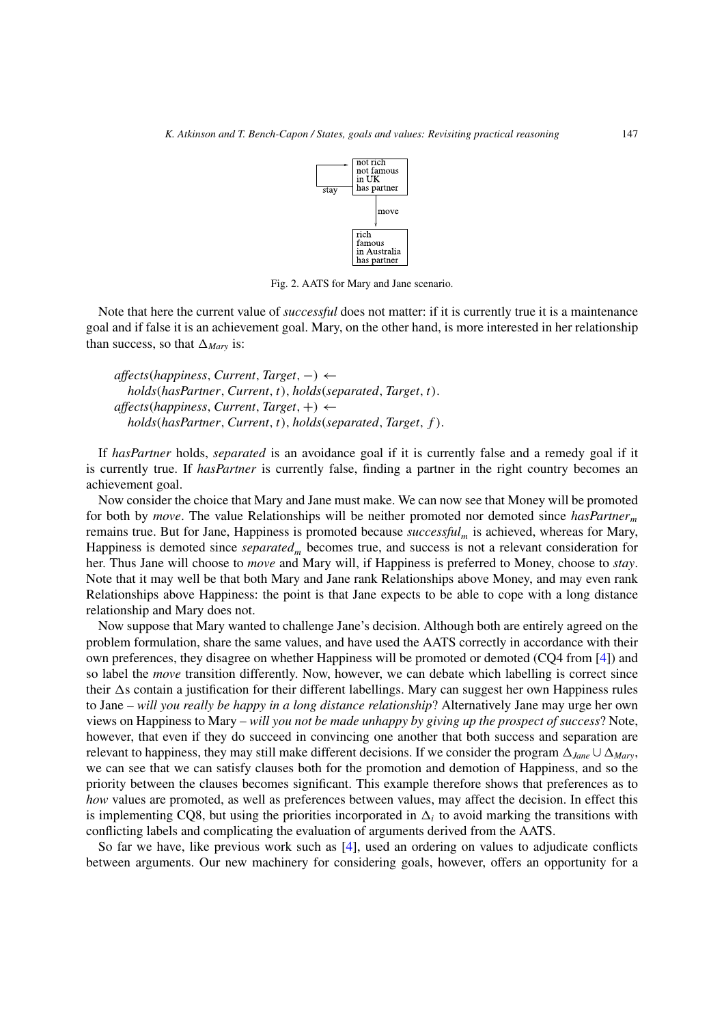

<span id="page-12-0"></span>Fig. 2. AATS for Mary and Jane scenario.

Note that here the current value of *successful* does not matter: if it is currently true it is a maintenance goal and if false it is an achievement goal. Mary, on the other hand, is more interested in her relationship than success, so that  $\Delta_{\text{Marv}}$  is:

*affects(happiness,Current, Target,* −*)* ← *holds(hasPartner,Current, t), holds(separated, Target, t).*  $a$ *ffects*(*happiness, Current, Target,* +*)* ← *holds(hasPartner,Current, t), holds(separated, Target, f ).*

If *hasPartner* holds, *separated* is an avoidance goal if it is currently false and a remedy goal if it is currently true. If *hasPartner* is currently false, finding a partner in the right country becomes an achievement goal.

Now consider the choice that Mary and Jane must make. We can now see that Money will be promoted for both by *move*. The value Relationships will be neither promoted nor demoted since *hasPartner<sup>m</sup>* remains true. But for Jane, Happiness is promoted because *successful<sup>m</sup>* is achieved, whereas for Mary, Happiness is demoted since *separated<sup>m</sup>* becomes true, and success is not a relevant consideration for her. Thus Jane will choose to *move* and Mary will, if Happiness is preferred to Money, choose to *stay*. Note that it may well be that both Mary and Jane rank Relationships above Money, and may even rank Relationships above Happiness: the point is that Jane expects to be able to cope with a long distance relationship and Mary does not.

Now suppose that Mary wanted to challenge Jane's decision. Although both are entirely agreed on the problem formulation, share the same values, and have used the AATS correctly in accordance with their own preferences, they disagree on whether Happiness will be promoted or demoted (CQ4 from [\[4\]](#page-17-1)) and so label the *move* transition differently. Now, however, we can debate which labelling is correct since their s contain a justification for their different labellings. Mary can suggest her own Happiness rules to Jane – *will you really be happy in a long distance relationship*? Alternatively Jane may urge her own views on Happiness to Mary – *will you not be made unhappy by giving up the prospect of success*? Note, however, that even if they do succeed in convincing one another that both success and separation are relevant to happiness, they may still make different decisions. If we consider the program  $\Delta_{\text{Jane}} \cup \Delta_{\text{Mary}}$ , we can see that we can satisfy clauses both for the promotion and demotion of Happiness, and so the priority between the clauses becomes significant. This example therefore shows that preferences as to *how* values are promoted, as well as preferences between values, may affect the decision. In effect this is implementing CQ8, but using the priorities incorporated in  $\Delta_i$  to avoid marking the transitions with conflicting labels and complicating the evaluation of arguments derived from the AATS.

So far we have, like previous work such as [\[4\]](#page-17-1), used an ordering on values to adjudicate conflicts between arguments. Our new machinery for considering goals, however, offers an opportunity for a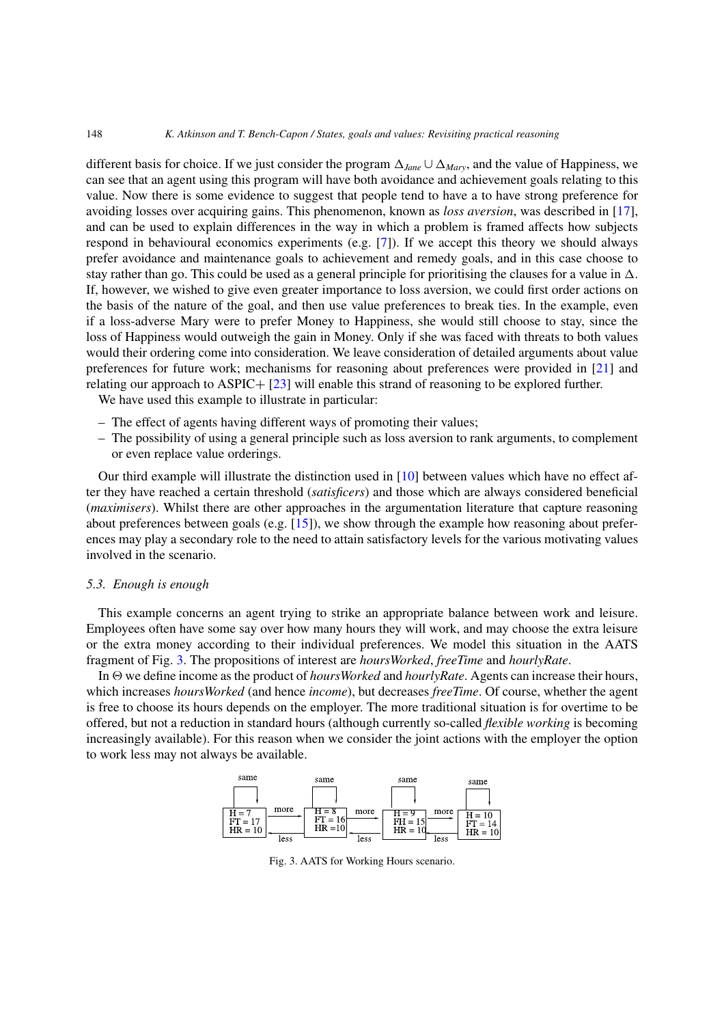different basis for choice. If we just consider the program  $\Delta_{Jane} \cup \Delta_{Mary}$ , and the value of Happiness, we can see that an agent using this program will have both avoidance and achievement goals relating to this value. Now there is some evidence to suggest that people tend to have a to have strong preference for avoiding losses over acquiring gains. This phenomenon, known as *loss aversion*, was described in [\[17](#page-18-19)], and can be used to explain differences in the way in which a problem is framed affects how subjects respond in behavioural economics experiments (e.g. [\[7](#page-18-20)]). If we accept this theory we should always prefer avoidance and maintenance goals to achievement and remedy goals, and in this case choose to stay rather than go. This could be used as a general principle for prioritising the clauses for a value in  $\Delta$ . If, however, we wished to give even greater importance to loss aversion, we could first order actions on the basis of the nature of the goal, and then use value preferences to break ties. In the example, even if a loss-adverse Mary were to prefer Money to Happiness, she would still choose to stay, since the loss of Happiness would outweigh the gain in Money. Only if she was faced with threats to both values would their ordering come into consideration. We leave consideration of detailed arguments about value preferences for future work; mechanisms for reasoning about preferences were provided in [\[21\]](#page-18-21) and relating our approach to ASPIC+ [\[23\]](#page-18-22) will enable this strand of reasoning to be explored further.

We have used this example to illustrate in particular:

- The effect of agents having different ways of promoting their values;
- The possibility of using a general principle such as loss aversion to rank arguments, to complement or even replace value orderings.

Our third example will illustrate the distinction used in [\[10\]](#page-18-23) between values which have no effect after they have reached a certain threshold (*satisficers*) and those which are always considered beneficial (*maximisers*). Whilst there are other approaches in the argumentation literature that capture reasoning about preferences between goals (e.g. [\[15\]](#page-18-6)), we show through the example how reasoning about preferences may play a secondary role to the need to attain satisfactory levels for the various motivating values involved in the scenario.

## *5.3. Enough is enough*

This example concerns an agent trying to strike an appropriate balance between work and leisure. Employees often have some say over how many hours they will work, and may choose the extra leisure or the extra money according to their individual preferences. We model this situation in the AATS fragment of Fig. [3.](#page-13-0) The propositions of interest are *hoursWorked*, *freeTime* and *hourlyRate*.

In  $\Theta$  we define income as the product of *hoursWorked* and *hourlyRate*. Agents can increase their hours, which increases *hoursWorked* (and hence *income*), but decreases *freeTime*. Of course, whether the agent is free to choose its hours depends on the employer. The more traditional situation is for overtime to be offered, but not a reduction in standard hours (although currently so-called *flexible working* is becoming increasingly available). For this reason when we consider the joint actions with the employer the option to work less may not always be available.



<span id="page-13-0"></span>Fig. 3. AATS for Working Hours scenario.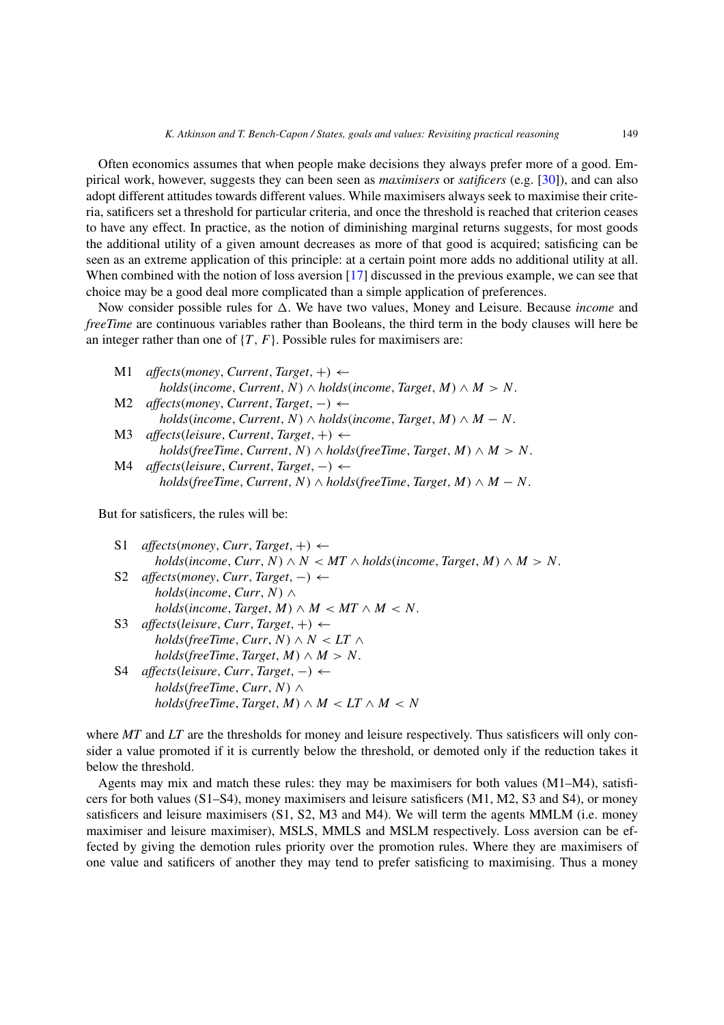Often economics assumes that when people make decisions they always prefer more of a good. Empirical work, however, suggests they can been seen as *maximisers* or *satificers* (e.g. [\[30](#page-18-24)]), and can also adopt different attitudes towards different values. While maximisers always seek to maximise their criteria, satificers set a threshold for particular criteria, and once the threshold is reached that criterion ceases to have any effect. In practice, as the notion of diminishing marginal returns suggests, for most goods the additional utility of a given amount decreases as more of that good is acquired; satisficing can be seen as an extreme application of this principle: at a certain point more adds no additional utility at all. When combined with the notion of loss aversion [\[17\]](#page-18-19) discussed in the previous example, we can see that choice may be a good deal more complicated than a simple application of preferences.

Now consider possible rules for . We have two values, Money and Leisure. Because *income* and *freeTime* are continuous variables rather than Booleans, the third term in the body clauses will here be an integer rather than one of  ${T, F}$ . Possible rules for maximisers are:

- M1 *affects*(*money*, *Current*, *Target*,  $+) \leftarrow$ *holds*(*income, Current,N*) ∧ *holds*(*income, Target,M*) ∧ *M* > *N.*  $M2$  *affects*(*money, Current, Target,* −*)* ← *holds*(*income, Current, N*) ∧ *holds*(*income, Target, M*) ∧ *M* − *N.*
- $M3$  *affects*(*leisure, Current, Target,* +*)* ← *holds*(*freeTime, Current, N*) ∧ *holds*(*freeTime, Target, M*) ∧ *M* > *N.*
- $M4$  *affects*(*leisure, Current, Target,* −*)* ← *holds*(*freeTime, Current,N*) ∧ *holds*(*freeTime, Target, M*) ∧ *M* − *N.*

But for satisficers, the rules will be:

|    | S1 affects (money, Curr, Target, +) $\leftarrow$                                         |
|----|------------------------------------------------------------------------------------------|
|    | holds(income, Curr, N) $\wedge$ N < MT $\wedge$ holds(income, Target, M) $\wedge$ M > N. |
|    | S2 affects (money, Curr, Target, $-$ ) $\leftarrow$                                      |
|    | holds(income, Curr, $N$ ) $\wedge$                                                       |
|    | holds(income, Target, M) $\wedge M < MT \wedge M < N$ .                                  |
|    | S3 affects(leisure, Curr, Target, +) $\leftarrow$                                        |
|    | holds(freeTime, Curr, N) $\wedge N < LT \wedge$                                          |
|    | holds(freeTime, Target, $M$ ) $\wedge$ $M > N$ .                                         |
| S4 | affects(leisure, Curr, Target, $-$ ) $\leftarrow$                                        |
|    | holds(freeTime, Curr, N) $\wedge$                                                        |
|    | holds(freeTime, Target, M) $\wedge M < LT \wedge M < N$                                  |

where *MT* and *LT* are the thresholds for money and leisure respectively. Thus satisficers will only consider a value promoted if it is currently below the threshold, or demoted only if the reduction takes it below the threshold.

Agents may mix and match these rules: they may be maximisers for both values (M1–M4), satisficers for both values (S1–S4), money maximisers and leisure satisficers (M1, M2, S3 and S4), or money satisficers and leisure maximisers (S1, S2, M3 and M4). We will term the agents MMLM (i.e. money maximiser and leisure maximiser), MSLS, MMLS and MSLM respectively. Loss aversion can be effected by giving the demotion rules priority over the promotion rules. Where they are maximisers of one value and satificers of another they may tend to prefer satisficing to maximising. Thus a money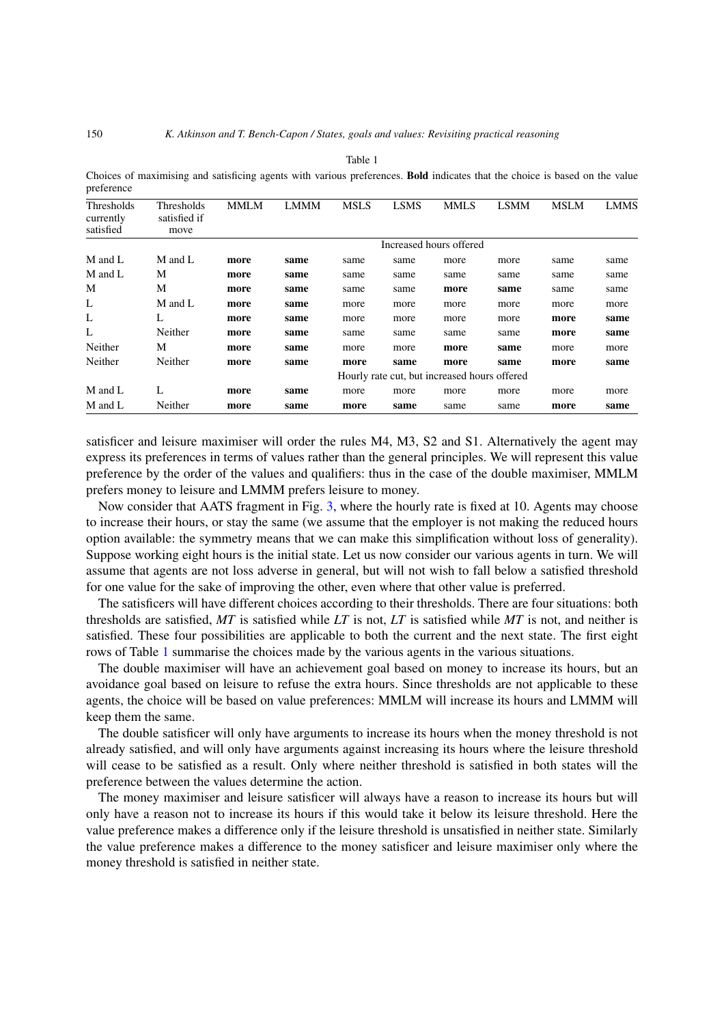<span id="page-15-0"></span>

| Thresholds<br>currently<br>satisfied | Thresholds<br>satisfied if<br>move | <b>MMLM</b>                                  | <b>LMMM</b>             | <b>MSLS</b> | <b>LSMS</b> | <b>MMLS</b> | <b>LSMM</b> | <b>MSLM</b> | <b>LMMS</b> |
|--------------------------------------|------------------------------------|----------------------------------------------|-------------------------|-------------|-------------|-------------|-------------|-------------|-------------|
|                                      |                                    |                                              | Increased hours offered |             |             |             |             |             |             |
| M and L                              | M and L                            | more                                         | same                    | same        | same        | more        | more        | same        | same        |
| M and L                              | М                                  | more                                         | same                    | same        | same        | same        | same        | same        | same        |
| M                                    | М                                  | more                                         | same                    | same        | same        | more        | same        | same        | same        |
| L                                    | M and L                            | more                                         | same                    | more        | more        | more        | more        | more        | more        |
| L                                    | L                                  | more                                         | same                    | more        | more        | more        | more        | more        | same        |
| L                                    | Neither                            | more                                         | same                    | same        | same        | same        | same        | more        | same        |
| Neither                              | М                                  | more                                         | same                    | more        | more        | more        | same        | more        | more        |
| Neither                              | Neither                            | more                                         | same                    | more        | same        | more        | same        | more        | same        |
|                                      |                                    | Hourly rate cut, but increased hours offered |                         |             |             |             |             |             |             |
| M and L                              | L                                  | more                                         | same                    | more        | more        | more        | more        | more        | more        |
| M and L                              | Neither                            | more                                         | same                    | more        | same        | same        | same        | more        | same        |

Table 1 Choices of maximising and satisficing agents with various preferences. **Bold** indicates that the choice is based on the value preference

satisficer and leisure maximiser will order the rules M4, M3, S2 and S1. Alternatively the agent may express its preferences in terms of values rather than the general principles. We will represent this value preference by the order of the values and qualifiers: thus in the case of the double maximiser, MMLM prefers money to leisure and LMMM prefers leisure to money.

Now consider that AATS fragment in Fig. [3,](#page-13-0) where the hourly rate is fixed at 10. Agents may choose to increase their hours, or stay the same (we assume that the employer is not making the reduced hours option available: the symmetry means that we can make this simplification without loss of generality). Suppose working eight hours is the initial state. Let us now consider our various agents in turn. We will assume that agents are not loss adverse in general, but will not wish to fall below a satisfied threshold for one value for the sake of improving the other, even where that other value is preferred.

The satisficers will have different choices according to their thresholds. There are four situations: both thresholds are satisfied, *MT* is satisfied while *LT* is not, *LT* is satisfied while *MT* is not, and neither is satisfied. These four possibilities are applicable to both the current and the next state. The first eight rows of Table [1](#page-15-0) summarise the choices made by the various agents in the various situations.

The double maximiser will have an achievement goal based on money to increase its hours, but an avoidance goal based on leisure to refuse the extra hours. Since thresholds are not applicable to these agents, the choice will be based on value preferences: MMLM will increase its hours and LMMM will keep them the same.

The double satisficer will only have arguments to increase its hours when the money threshold is not already satisfied, and will only have arguments against increasing its hours where the leisure threshold will cease to be satisfied as a result. Only where neither threshold is satisfied in both states will the preference between the values determine the action.

The money maximiser and leisure satisficer will always have a reason to increase its hours but will only have a reason not to increase its hours if this would take it below its leisure threshold. Here the value preference makes a difference only if the leisure threshold is unsatisfied in neither state. Similarly the value preference makes a difference to the money satisficer and leisure maximiser only where the money threshold is satisfied in neither state.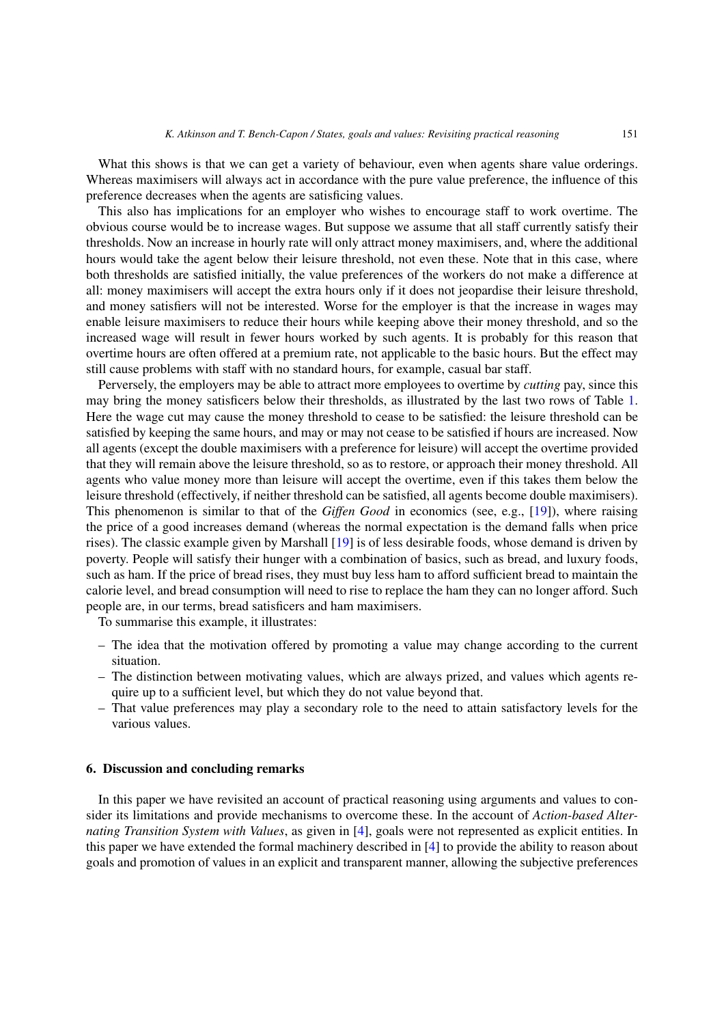What this shows is that we can get a variety of behaviour, even when agents share value orderings. Whereas maximisers will always act in accordance with the pure value preference, the influence of this preference decreases when the agents are satisficing values.

This also has implications for an employer who wishes to encourage staff to work overtime. The obvious course would be to increase wages. But suppose we assume that all staff currently satisfy their thresholds. Now an increase in hourly rate will only attract money maximisers, and, where the additional hours would take the agent below their leisure threshold, not even these. Note that in this case, where both thresholds are satisfied initially, the value preferences of the workers do not make a difference at all: money maximisers will accept the extra hours only if it does not jeopardise their leisure threshold, and money satisfiers will not be interested. Worse for the employer is that the increase in wages may enable leisure maximisers to reduce their hours while keeping above their money threshold, and so the increased wage will result in fewer hours worked by such agents. It is probably for this reason that overtime hours are often offered at a premium rate, not applicable to the basic hours. But the effect may still cause problems with staff with no standard hours, for example, casual bar staff.

Perversely, the employers may be able to attract more employees to overtime by *cutting* pay, since this may bring the money satisficers below their thresholds, as illustrated by the last two rows of Table [1.](#page-15-0) Here the wage cut may cause the money threshold to cease to be satisfied: the leisure threshold can be satisfied by keeping the same hours, and may or may not cease to be satisfied if hours are increased. Now all agents (except the double maximisers with a preference for leisure) will accept the overtime provided that they will remain above the leisure threshold, so as to restore, or approach their money threshold. All agents who value money more than leisure will accept the overtime, even if this takes them below the leisure threshold (effectively, if neither threshold can be satisfied, all agents become double maximisers). This phenomenon is similar to that of the *Giffen Good* in economics (see, e.g., [\[19\]](#page-18-25)), where raising the price of a good increases demand (whereas the normal expectation is the demand falls when price rises). The classic example given by Marshall [\[19\]](#page-18-25) is of less desirable foods, whose demand is driven by poverty. People will satisfy their hunger with a combination of basics, such as bread, and luxury foods, such as ham. If the price of bread rises, they must buy less ham to afford sufficient bread to maintain the calorie level, and bread consumption will need to rise to replace the ham they can no longer afford. Such people are, in our terms, bread satisficers and ham maximisers.

To summarise this example, it illustrates:

- The idea that the motivation offered by promoting a value may change according to the current situation.
- The distinction between motivating values, which are always prized, and values which agents require up to a sufficient level, but which they do not value beyond that.
- That value preferences may play a secondary role to the need to attain satisfactory levels for the various values.

#### <span id="page-16-0"></span>**6. Discussion and concluding remarks**

In this paper we have revisited an account of practical reasoning using arguments and values to consider its limitations and provide mechanisms to overcome these. In the account of *Action-based Alternating Transition System with Values*, as given in [\[4](#page-17-1)], goals were not represented as explicit entities. In this paper we have extended the formal machinery described in [\[4\]](#page-17-1) to provide the ability to reason about goals and promotion of values in an explicit and transparent manner, allowing the subjective preferences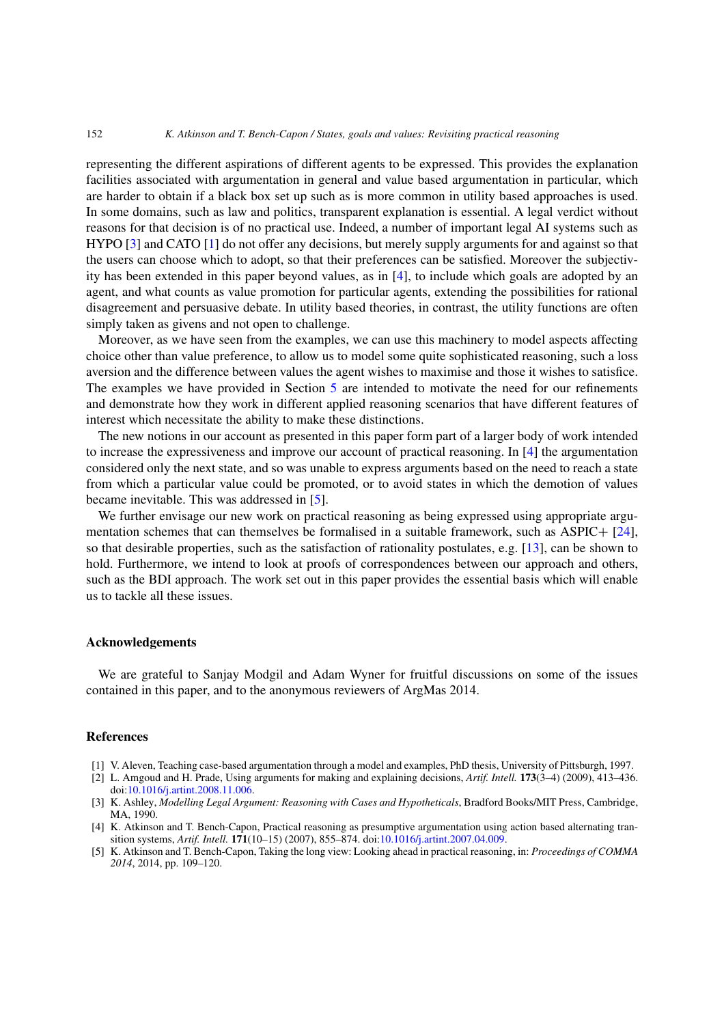representing the different aspirations of different agents to be expressed. This provides the explanation facilities associated with argumentation in general and value based argumentation in particular, which are harder to obtain if a black box set up such as is more common in utility based approaches is used. In some domains, such as law and politics, transparent explanation is essential. A legal verdict without reasons for that decision is of no practical use. Indeed, a number of important legal AI systems such as HYPO [\[3](#page-17-3)] and CATO [\[1\]](#page-17-4) do not offer any decisions, but merely supply arguments for and against so that the users can choose which to adopt, so that their preferences can be satisfied. Moreover the subjectivity has been extended in this paper beyond values, as in [\[4\]](#page-17-1), to include which goals are adopted by an agent, and what counts as value promotion for particular agents, extending the possibilities for rational disagreement and persuasive debate. In utility based theories, in contrast, the utility functions are often simply taken as givens and not open to challenge.

Moreover, as we have seen from the examples, we can use this machinery to model aspects affecting choice other than value preference, to allow us to model some quite sophisticated reasoning, such a loss aversion and the difference between values the agent wishes to maximise and those it wishes to satisfice. The examples we have provided in Section [5](#page-8-0) are intended to motivate the need for our refinements and demonstrate how they work in different applied reasoning scenarios that have different features of interest which necessitate the ability to make these distinctions.

The new notions in our account as presented in this paper form part of a larger body of work intended to increase the expressiveness and improve our account of practical reasoning. In [\[4\]](#page-17-1) the argumentation considered only the next state, and so was unable to express arguments based on the need to reach a state from which a particular value could be promoted, or to avoid states in which the demotion of values became inevitable. This was addressed in [\[5\]](#page-17-0).

We further envisage our new work on practical reasoning as being expressed using appropriate argumentation schemes that can themselves be formalised in a suitable framework, such as ASPIC+ [\[24](#page-18-26)], so that desirable properties, such as the satisfaction of rationality postulates, e.g.  $[13]$  $[13]$ , can be shown to hold. Furthermore, we intend to look at proofs of correspondences between our approach and others, such as the BDI approach. The work set out in this paper provides the essential basis which will enable us to tackle all these issues.

#### **Acknowledgements**

We are grateful to Sanjay Modgil and Adam Wyner for fruitful discussions on some of the issues contained in this paper, and to the anonymous reviewers of ArgMas 2014.

#### **References**

- <span id="page-17-4"></span>[1] V. Aleven, Teaching case-based argumentation through a model and examples, PhD thesis, University of Pittsburgh, 1997.
- <span id="page-17-2"></span>[2] L. Amgoud and H. Prade, Using arguments for making and explaining decisions, *Artif. Intell.* **173**(3–4) (2009), 413–436. doi[:10.1016/j.artint.2008.11.006.](http://dx.doi.org/10.1016/j.artint.2008.11.006)
- <span id="page-17-3"></span>[3] K. Ashley, *Modelling Legal Argument: Reasoning with Cases and Hypotheticals*, Bradford Books/MIT Press, Cambridge, MA, 1990.
- <span id="page-17-1"></span>[4] K. Atkinson and T. Bench-Capon, Practical reasoning as presumptive argumentation using action based alternating transition systems, *Artif. Intell.* **171**(10–15) (2007), 855–874. doi[:10.1016/j.artint.2007.04.009.](http://dx.doi.org/10.1016/j.artint.2007.04.009)
- <span id="page-17-0"></span>[5] K. Atkinson and T. Bench-Capon, Taking the long view: Looking ahead in practical reasoning, in: *Proceedings of COMMA 2014*, 2014, pp. 109–120.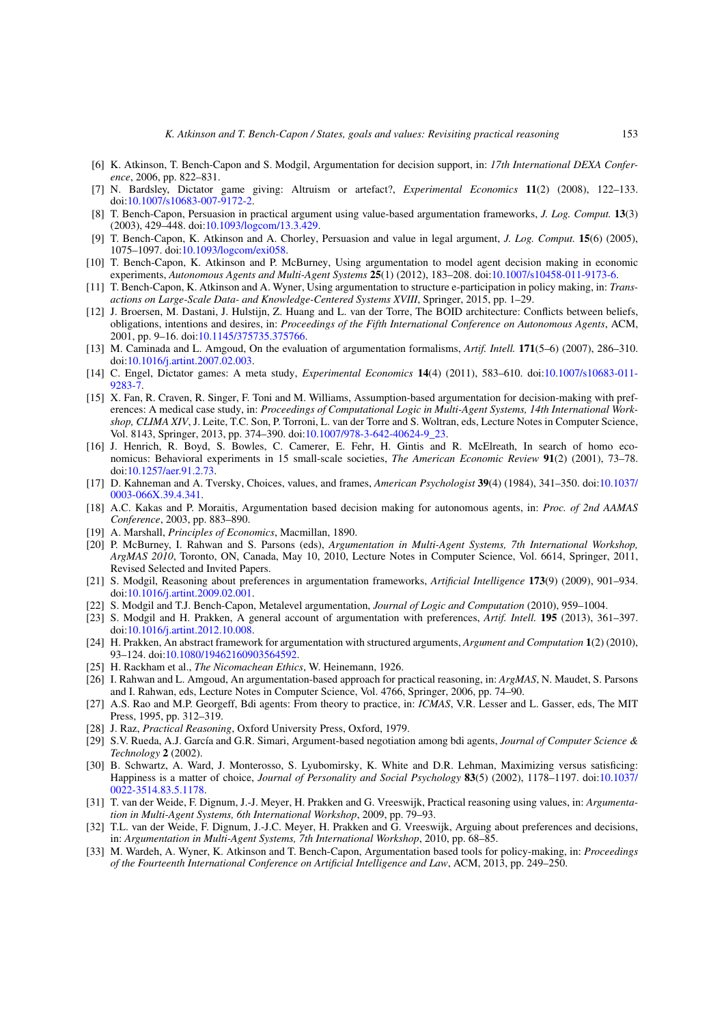- <span id="page-18-3"></span>[6] K. Atkinson, T. Bench-Capon and S. Modgil, Argumentation for decision support, in: *17th International DEXA Conference*, 2006, pp. 822–831.
- <span id="page-18-20"></span>[7] N. Bardsley, Dictator game giving: Altruism or artefact?, *Experimental Economics* **11**(2) (2008), 122–133. doi[:10.1007/s10683-007-9172-2.](http://dx.doi.org/10.1007/s10683-007-9172-2)
- <span id="page-18-11"></span>[8] T. Bench-Capon, Persuasion in practical argument using value-based argumentation frameworks, *J. Log. Comput.* **13**(3) (2003), 429–448. doi[:10.1093/logcom/13.3.429.](http://dx.doi.org/10.1093/logcom/13.3.429)
- <span id="page-18-1"></span>[9] T. Bench-Capon, K. Atkinson and A. Chorley, Persuasion and value in legal argument, *J. Log. Comput.* **15**(6) (2005), 1075–1097. doi[:10.1093/logcom/exi058.](http://dx.doi.org/10.1093/logcom/exi058)
- <span id="page-18-23"></span>[10] T. Bench-Capon, K. Atkinson and P. McBurney, Using argumentation to model agent decision making in economic experiments, *Autonomous Agents and Multi-Agent Systems* **25**(1) (2012), 183–208. doi[:10.1007/s10458-011-9173-6.](http://dx.doi.org/10.1007/s10458-011-9173-6)
- <span id="page-18-4"></span>[11] T. Bench-Capon, K. Atkinson and A. Wyner, Using argumentation to structure e-participation in policy making, in: *Transactions on Large-Scale Data- and Knowledge-Centered Systems XVIII*, Springer, 2015, pp. 1–29.
- <span id="page-18-12"></span>[12] J. Broersen, M. Dastani, J. Hulstijn, Z. Huang and L. van der Torre, The BOID architecture: Conflicts between beliefs, obligations, intentions and desires, in: *Proceedings of the Fifth International Conference on Autonomous Agents*, ACM, 2001, pp. 9–16. doi[:10.1145/375735.375766.](http://dx.doi.org/10.1145/375735.375766)
- <span id="page-18-27"></span>[13] M. Caminada and L. Amgoud, On the evaluation of argumentation formalisms, *Artif. Intell.* **171**(5–6) (2007), 286–310. doi[:10.1016/j.artint.2007.02.003.](http://dx.doi.org/10.1016/j.artint.2007.02.003)
- <span id="page-18-15"></span>[14] C. Engel, Dictator games: A meta study, *Experimental Economics* **14**(4) (2011), 583–610. doi[:10.1007/s10683-011-](http://dx.doi.org/10.1007/s10683-011-9283-7) [9283-7.](http://dx.doi.org/10.1007/s10683-011-9283-7)
- <span id="page-18-6"></span>[15] X. Fan, R. Craven, R. Singer, F. Toni and M. Williams, Assumption-based argumentation for decision-making with preferences: A medical case study, in: *Proceedings of Computational Logic in Multi-Agent Systems, 14th International Workshop, CLIMA XIV*, J. Leite, T.C. Son, P. Torroni, L. van der Torre and S. Woltran, eds, Lecture Notes in Computer Science, Vol. 8143, Springer, 2013, pp. 374–390. doi[:10.1007/978-3-642-40624-9\\_23.](http://dx.doi.org/10.1007/978-3-642-40624-9_23)
- <span id="page-18-16"></span>[16] J. Henrich, R. Boyd, S. Bowles, C. Camerer, E. Fehr, H. Gintis and R. McElreath, In search of homo economicus: Behavioral experiments in 15 small-scale societies, *The American Economic Review* **91**(2) (2001), 73–78. doi[:10.1257/aer.91.2.73.](http://dx.doi.org/10.1257/aer.91.2.73)
- <span id="page-18-19"></span>[17] D. Kahneman and A. Tversky, Choices, values, and frames, *American Psychologist* **39**(4) (1984), 341–350. doi[:10.1037/](http://dx.doi.org/10.1037/0003-066X.39.4.341) [0003-066X.39.4.341.](http://dx.doi.org/10.1037/0003-066X.39.4.341)
- <span id="page-18-7"></span>[18] A.C. Kakas and P. Moraitis, Argumentation based decision making for autonomous agents, in: *Proc. of 2nd AAMAS Conference*, 2003, pp. 883–890.
- <span id="page-18-25"></span>[19] A. Marshall, *Principles of Economics*, Macmillan, 1890.
- <span id="page-18-14"></span>[20] P. McBurney, I. Rahwan and S. Parsons (eds), *Argumentation in Multi-Agent Systems, 7th International Workshop, ArgMAS 2010*, Toronto, ON, Canada, May 10, 2010, Lecture Notes in Computer Science, Vol. 6614, Springer, 2011, Revised Selected and Invited Papers.
- <span id="page-18-21"></span>[21] S. Modgil, Reasoning about preferences in argumentation frameworks, *Artificial Intelligence* **173**(9) (2009), 901–934. doi[:10.1016/j.artint.2009.02.001.](http://dx.doi.org/10.1016/j.artint.2009.02.001)
- <span id="page-18-17"></span>[22] S. Modgil and T.J. Bench-Capon, Metalevel argumentation, *Journal of Logic and Computation* (2010), 959–1004.
- <span id="page-18-22"></span>[23] S. Modgil and H. Prakken, A general account of argumentation with preferences, *Artif. Intell.* **195** (2013), 361–397. doi[:10.1016/j.artint.2012.10.008.](http://dx.doi.org/10.1016/j.artint.2012.10.008)
- <span id="page-18-26"></span>[24] H. Prakken, An abstract framework for argumentation with structured arguments, *Argument and Computation* **1**(2) (2010), 93–124. doi[:10.1080/19462160903564592.](http://dx.doi.org/10.1080/19462160903564592)
- <span id="page-18-18"></span>[25] H. Rackham et al., *The Nicomachean Ethics*, W. Heinemann, 1926.
- <span id="page-18-8"></span>[26] I. Rahwan and L. Amgoud, An argumentation-based approach for practical reasoning, in: *ArgMAS*, N. Maudet, S. Parsons and I. Rahwan, eds, Lecture Notes in Computer Science, Vol. 4766, Springer, 2006, pp. 74–90.
- <span id="page-18-10"></span>[27] A.S. Rao and M.P. Georgeff, Bdi agents: From theory to practice, in: *ICMAS*, V.R. Lesser and L. Gasser, eds, The MIT Press, 1995, pp. 312–319.
- <span id="page-18-0"></span>[28] J. Raz, *Practical Reasoning*, Oxford University Press, Oxford, 1979.
- <span id="page-18-13"></span>[29] S.V. Rueda, A.J. García and G.R. Simari, Argument-based negotiation among bdi agents, *Journal of Computer Science & Technology* **2** (2002).
- <span id="page-18-24"></span>[30] B. Schwartz, A. Ward, J. Monterosso, S. Lyubomirsky, K. White and D.R. Lehman, Maximizing versus satisficing: Happiness is a matter of choice, *Journal of Personality and Social Psychology* **83**(5) (2002), 1178–1197. doi[:10.1037/](http://dx.doi.org/10.1037/0022-3514.83.5.1178) [0022-3514.83.5.1178.](http://dx.doi.org/10.1037/0022-3514.83.5.1178)
- <span id="page-18-5"></span>[31] T. van der Weide, F. Dignum, J.-J. Meyer, H. Prakken and G. Vreeswijk, Practical reasoning using values, in: *Argumentation in Multi-Agent Systems, 6th International Workshop*, 2009, pp. 79–93.
- <span id="page-18-9"></span>[32] T.L. van der Weide, F. Dignum, J.-J.C. Meyer, H. Prakken and G. Vreeswijk, Arguing about preferences and decisions, in: *Argumentation in Multi-Agent Systems, 7th International Workshop*, 2010, pp. 68–85.
- <span id="page-18-2"></span>[33] M. Wardeh, A. Wyner, K. Atkinson and T. Bench-Capon, Argumentation based tools for policy-making, in: *Proceedings of the Fourteenth International Conference on Artificial Intelligence and Law*, ACM, 2013, pp. 249–250.